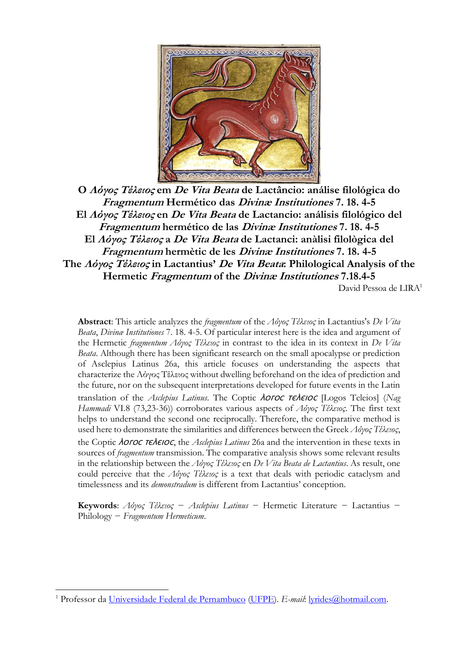

**O Λόγος Τέλειος em De Vita Beata de Lactâncio: análise filológica do Fragmentum Hermético das Divinæ Institutiones 7. 18. 4-5 El Λόγος Τέλειος en De Vita Beata de Lactancio: análisis filológico del Fragmentum hermético de las Divinæ Institutiones 7. 18. 4-5 El Λόγος Τέλειος a De Vita Beata de Lactanci: anàlisi filològica del Fragmentum hermètic de les Divinæ Institutiones 7. 18. 4-5 The Λόγος Τέλειος in Lactantius' De Vita Beata: Philological Analysis of the Hermetic Fragmentum of the Divinæ Institutiones 7.18.4-5** David Pessoa de LIRA<sup>1</sup>

**Abstract**: This article analyzes the *fragmentum* of the *Λόγος Τέλειος* in Lactantius's *De Vita Beata*, *Divinæ Institutiones* 7. 18. 4-5. Of particular interest here is the idea and argument of the Hermetic *fragmentum Λόγος Τέλειος* in contrast to the idea in its context in *De Vita Beata*. Although there has been significant research on the small apocalypse or prediction of Asclepius Latinus 26a, this article focuses on understanding the aspects that characterize the Λόγος Τέλειος without dwelling beforehand on the idea of prediction and the future, nor on the subsequent interpretations developed for future events in the Latin translation of the *Asclepius Latinus*. The Coptic *AOFOC TEAEIOC* [Logos Teleios] (Nag *Hammadi* VI.8 (73,23-36)) corroborates various aspects of *Λόγος Τέλειος*. The first text helps to understand the second one reciprocally. Therefore, the comparative method is used here to demonstrate the similarities and differences between the Greek *Λόγος Τέλειος*, the Coptic *AOFOC TEAEIOC*, the *Asclepius Latinus* 26a and the intervention in these texts in sources of *fragmentum* transmission. The comparative analysis shows some relevant results in the relationship between the *Λόγος Τέλειος* en *De Vita Beata de Lactantius*. As result, one could perceive that the *Λόγος Τέλειος* is a text that deals with periodic cataclysm and timelessness and its *demonstradum* is different from Lactantius' conception.

**Keywords**: *Λόγος Τέλειος* − *Asclepius Latinus* − Hermetic Literature − Lactantius − Philology − *Fragmentum Hermeticum*.

<sup>1</sup> Professor da Universidade [Federal de Pernambuco](https://www.ufpe.br/) [\(UFPE\)](https://www.ufpe.br/). *E-mail*: [lyrides@hotmail.com.](mailto:lyrides@hotmail.com)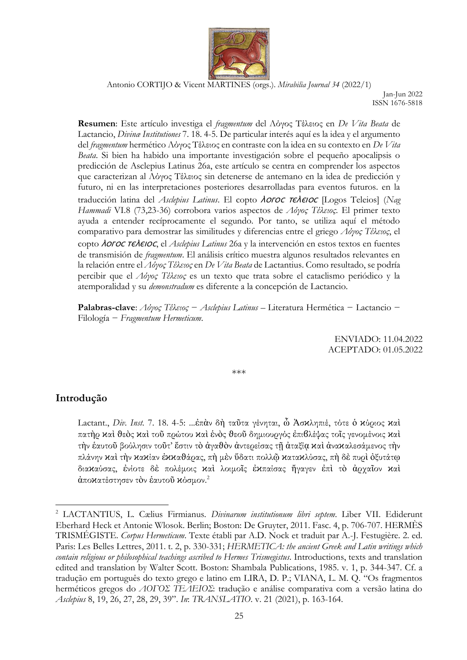

Jan-Jun 2022 ISSN 1676-5818

**Resumen**: Este artículo investiga el *fragmentum* del Λόγος Τέλειος en *De Vita Beata* de Lactancio, *Divinæ Institutiones* 7. 18. 4-5. De particular interés aquí es la idea y el argumento del *fragmentum* hermético Λόγος Τέλειος en contraste con la idea en su contexto en *De Vita Beata*. Si bien ha habido una importante investigación sobre el pequeño apocalipsis o predicción de Asclepius Latinus 26a, este artículo se centra en comprender los aspectos que caracterizan al Λόγος Τέλειος sin detenerse de antemano en la idea de predicción y futuro, ni en las interpretaciones posteriores desarrolladas para eventos futuros. en la traducción latina del *Asclepius Latinus*. El copto *AOFOC TEAEIOC* [Logos Teleios] (*Nag Hammadi* VI.8 (73,23-36) corrobora varios aspectos de *Λόγος Τέλειος*. El primer texto ayuda a entender recíprocamente el segundo. Por tanto, se utiliza aquí el método comparativo para demostrar las similitudes y diferencias entre el griego *Λόγος Τέλειος*, el copto *AOFOC TEAEIOC*, el *Asclepius Latinus* 26a y la intervención en estos textos en fuentes de transmisión de *fragmentum*. El análisis crítico muestra algunos resultados relevantes en la relación entre el *Λόγος Τέλειος* en *De Vita Beata* de Lactantius. Como resultado, se podría percibir que el *Λόγος Τέλειος* es un texto que trata sobre el cataclismo periódico y la atemporalidad y su *demonstradum* es diferente a la concepción de Lactancio.

**Palabras-clave**: *Λόγος Τέλειος* − *Asclepius Latinus* – Literatura Hermética − Lactancio − Filología − *Fragmentum Hermeticum*.

> ENVIADO: 11.04.2022 ACEPTADO: 01.05.2022

\*\*\*

#### **Introdução**

Lactant., *Div. Inst.* 7. 18. 4-5: ...ἐπὰν δὴ ταῦτα γένηται, ὦ Ἀσϰληπιέ, τότε ὁ ϰύριος ϰαὶ πατὴρ ϰαὶ ϑεὸς ϰαὶ τοῦ πρώτου ϰαὶ ἑνὸς ϑεοῦ δημιουργός ἐπιϐλέψας τοῖς γενομένοις ϰαὶ τὴν ἑαυτοῦ βούλησιν τοῦτ' ἔστιν τὸ ἀγαϑὸν ἀντερείσας τῇ ἀταξίᾳ ϰαὶ ἀναϰαλεσάμενος τὴν πλάνην καὶ τὴν κακίαν ἐκκαθάρας, πὴ μὲν ὕδατι πολλῷ κατακλύσας, πὴ δὲ πυρὶ ὀξυτάτφ διαϰαύσας, ἐνίοτε δὲ πολέμοις ϰαὶ λοιμοῖς ἐϰπαίσας ἤγαγεν ἐπὶ τὸ ἀρχαῖον ϰαὶ άπο ${\varkappa}$ ατέστησεν τὸν ἑαυτοῦ  ${\varkappa}$ όσμον. $^2$ 

<sup>2</sup> LACTANTIUS, L. Cælius Firmianus. *Divinarum institutionum libri septem*. Liber VII. Ediderunt Eberhard Heck et Antonie Wlosok. Berlin; Boston: De Gruyter, 2011. Fasc. 4, p. 706-707. HERMÈS TRISMÉGISTE. *Corpus Hermeticum*. Texte établi par A.D. Nock et traduit par A.-J. Festugière. 2. ed. Paris: Les Belles Lettres, 2011. t. 2, p. 330-331; *HERMETICA: the ancient Greek and Latin writings which contain religious or philosophical teachings ascribed to Hermes Trismegistus*. Introductions, texts and translation edited and translation by Walter Scott. Boston: Shambala Publications, 1985. v. 1, p. 344-347. Cf. a tradução em português do texto grego e latino em LIRA, D. P.; VIANA, L. M. Q. "Os fragmentos herméticos gregos do *ΛΟΓΟΣ ΤΕΛΕΙΟΣ*: tradução e análise comparativa com a versão latina do *Asclepius* 8, 19, 26, 27, 28, 29, 39". *In*: *TRANSLATIO*. v. 21 (2021), p. 163-164.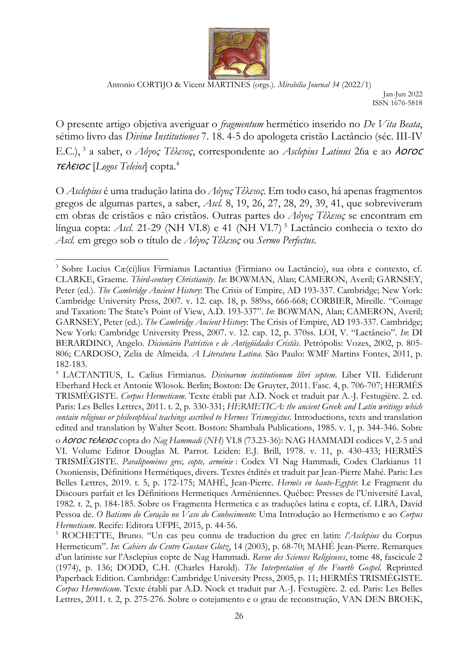

Jan-Jun 2022 ISSN 1676-5818

O presente artigo objetiva averiguar o *fragmentum* hermético inserido no *De Vita Beata*, sétimo livro das *Divinæ Institutiones* 7. 18. 4-5 do apologeta cristão Lactâncio (séc. III-IV E.C.), <sup>3</sup> a saber, ο Λόγος Τέλειος, correspondente ao Asclepius Latinus 26a e ao **λοгος** ⲧⲉⲗⲉⲓⲟⲥ [*Logos Teleios*] copta.<sup>4</sup>

O *Asclepius* é uma tradução latina do *Λόγος Τέλειος*. Em todo caso, há apenas fragmentos gregos de algumas partes, a saber, *Ascl.* 8, 19, 26, 27, 28, 29, 39, 41, que sobreviveram em obras de cristãos e não cristãos. Outras partes do *Λόγος Τέλειος* se encontram em língua copta: *Ascl.* 21-29 (NH VI.8) e 41 (NH VI.7)<sup>5</sup> Lactâncio conhecia o texto do *Ascl.* em grego sob o título de *Λόγος Τέλειος* ou *Sermo Perfectus*.

<sup>4</sup> LACTANTIUS, L. Cælius Firmianus. *Divinarum institutionum libri septem*. Liber VII. Ediderunt Eberhard Heck et Antonie Wlosok. Berlin; Boston: De Gruyter, 2011. Fasc. 4, p. 706-707; HERMÈS TRISMÉGISTE. *Corpus Hermeticum*. Texte établi par A.D. Nock et traduit par A.-J. Festugière. 2. ed. Paris: Les Belles Lettres, 2011. t. 2, p. 330-331; *HERMETICA: the ancient Greek and Latin writings which contain religious or philosophical teachings ascribed to Hermes Trismegistus*. Introductions, texts and translation edited and translation by Walter Scott. Boston: Shambala Publications, 1985. v. 1, p. 344-346. Sobre o *Aoroc reAeioc* copta do *Nag Hammadi* (NH) VI.8 (73.23-36): NAG HAMMADI codices V, 2-5 and VI. Volume Editor Douglas M. Parrot. Leiden: E.J. Brill, 1978. v. 11, p. 430-433; HERMÈS TRISMÉGISTE. *Paralipomènes grec, copte, arménie* : Codex VI Nag Hammadi, Codex Clarkianus 11 Oxoniensis, Définitions Hermétiques, divers. Textes étdités et traduit par Jean-Pierre Mahé. Paris: Les Belles Lettres, 2019. t. 5, p. 172-175; MAHÉ, Jean-Pierre. *Hermès en haute-Egypte*: Le Fragment du Discours parfait et les Définitions Hermetiques Arméniennes. Québec: Presses de l'Université Laval, 1982. t. 2, p. 184-185. Sobre os Fragmenta Hermetica e as traduções latina e copta, cf. LIRA, David Pessoa de. *O Batismo do Coração no Vaso do Conhecimento*: Uma Introdução ao Hermetismo e ao *Corpus Hermeticum*. Recife: Editora UFPE, 2015, p. 44-56.

<sup>3</sup> Sobre Lucius Cæ(ci)lius Firmianus Lactantius (Firmiano ou Lactâncio), sua obra e contexto, cf. CLARKE, Graeme. *Third-century Christianity*. *In*: BOWMAN, Alan; CAMERON, Averil; GARNSEY, Peter (ed.). *The Cambridge Ancient History*: The Crisis of Empire, AD 193-337. Cambridge; New York: Cambridge University Press, 2007. v. 12. cap. 18, p. 589ss, 666-668; CORBIER, Mireille. "Coinage and Taxation: The State's Point of View, A.D. 193-337". *In*: BOWMAN, Alan; CAMERON, Averil; GARNSEY, Peter (ed.). *The Cambridge Ancient History*: The Crisis of Empire, AD 193-337. Cambridge; New York: Cambridge University Press, 2007. v. 12. cap. 12, p. 370ss. LOI, V. "Lactâncio". *In*: DI BERARDINO, Angelo. *Dicionário Patrístico e de Antigüidades Cristãs*. Petrópolis: Vozes, 2002, p. 805- 806; CARDOSO, Zelia de Almeida. *A Literatura Latina*. São Paulo: WMF Martins Fontes, 2011, p. 182-183.

<sup>5</sup> ROCHETTE, Bruno. "Un cas peu connu de traduction du grec en latin: *l'Asclepius* du Corpus Hermeticum". *In*: *Cahiers du Centre Gustave Glotz*, 14 (2003), p. 68-70; MAHÉ Jean-Pierre. Remarques d'un latiniste sur l'Asclepius copte de Nag Hammadi. *Revue des Sciences Religieuses*, tome 48, fascicule 2 (1974), p. 136; DODD, C.H. (Charles Harold). *The Interpretation of the Fourth Gospel.* Reprinted Paperback Edition. Cambridge: Cambridge University Press, 2005, p. 11; HERMÈS TRISMÉGISTE. *Corpus Hermeticum*. Texte établi par A.D. Nock et traduit par A.-J. Festugière. 2. ed. Paris: Les Belles Lettres, 2011. t. 2, p. 275-276. Sobre o cotejamento e o grau de reconstrução, VAN DEN BROEK,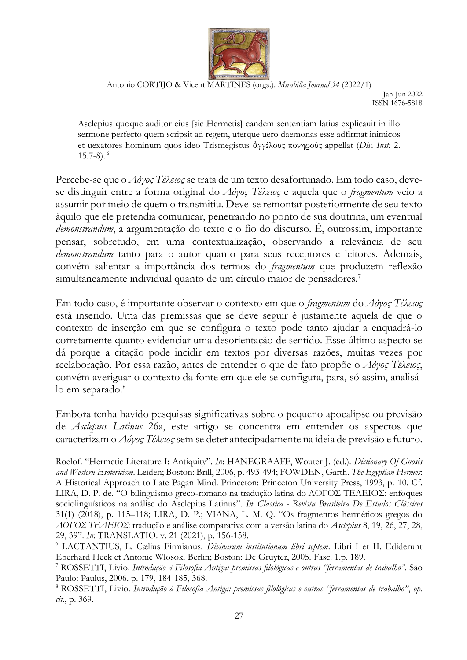

Jan-Jun 2022 ISSN 1676-5818

Asclepius quoque auditor eius [sic Hermetis] eandem sententiam latius explicauit in illo sermone perfecto quem scripsit ad regem, uterque uero daemonas esse adfirmat inimicos et uexatores hominum quos ideo Trismegistus ἀγγέλους πονηρούς appellat (*Div. Inst.* 2.  $15.7-8$ ).  $^{6}$ 

Percebe-se que o *Λόγος Τέλειος* se trata de um texto desafortunado. Em todo caso, devese distinguir entre a forma original do *Λόγος Τέλειος* e aquela que o *fragmentum* veio a assumir por meio de quem o transmitiu. Deve-se remontar posteriormente de seu texto àquilo que ele pretendia comunicar, penetrando no ponto de sua doutrina, um eventual *demonstrandum*, a argumentação do texto e o fio do discurso. É, outrossim, importante pensar, sobretudo, em uma contextualização, observando a relevância de seu *demonstrandum* tanto para o autor quanto para seus receptores e leitores. Ademais, convém salientar a importância dos termos do *fragmentum* que produzem reflexão simultaneamente individual quanto de um círculo maior de pensadores.<sup>7</sup>

Em todo caso, é importante observar o contexto em que o *fragmentum* do *Λόγος Τέλειος* está inserido. Uma das premissas que se deve seguir é justamente aquela de que o contexto de inserção em que se configura o texto pode tanto ajudar a enquadrá-lo corretamente quanto evidenciar uma desorientação de sentido. Esse último aspecto se dá porque a citação pode incidir em textos por diversas razões, muitas vezes por reelaboração. Por essa razão, antes de entender o que de fato propõe o *Λόγος Τέλειος*, convém averiguar o contexto da fonte em que ele se configura, para, só assim, analisálo em separado.<sup>8</sup>

Embora tenha havido pesquisas significativas sobre o pequeno apocalipse ou previsão de *Asclepius Latinus* 26a, este artigo se concentra em entender os aspectos que caracterizam o *Λόγος Τέλειος*sem se deter antecipadamente na ideia de previsão e futuro.

Roelof. "Hermetic Literature I: Antiquity". *In*: HANEGRAAFF, Wouter J. (ed.). *Dictionary Of Gnosis and Western Esotericism*. Leiden; Boston: Brill, 2006, p. 493-494; FOWDEN, Garth. *The Egyptian Hermes*: A Historical Approach to Late Pagan Mind. Princeton: Princeton University Press, 1993, p. 10. Cf. LIRA, D. P. de. "O bilinguismo greco-romano na tradução latina do ΛΟΓΟΣ ΤΕΛΕΙΟΣ: enfoques sociolinguísticos na análise do Asclepius Latinus". *In*: *Classica - Revista Brasileira De Estudos Clássicos* 31(1) (2018), p. 115–118; LIRA, D. P.; VIANA, L. M. Q. "Os fragmentos herméticos gregos do *ΛΟΓΟΣ ΤΕΛΕΙΟΣ*: tradução e análise comparativa com a versão latina do *Asclepius* 8, 19, 26, 27, 28, 29, 39". *In*: TRANSLATIO. v. 21 (2021), p. 156-158.

<sup>6</sup> LACTANTIUS, L. Cælius Firmianus. *Divinarum institutionum libri septem*. Libri I et II. Ediderunt Eberhard Heck et Antonie Wlosok. Berlin; Boston: De Gruyter, 2005. Fasc. 1.p. 189.

<sup>7</sup> ROSSETTI, Livio. *Introdução à Filosofia Antiga: premissas filológicas e outras "ferramentas de trabalho"*. São Paulo: Paulus, 2006. p. 179, 184-185, 368.

<sup>8</sup> ROSSETTI, Livio. *Introdução à Filosofia Antiga: premissas filológicas e outras "ferramentas de trabalho"*, *op. cit*., p. 369.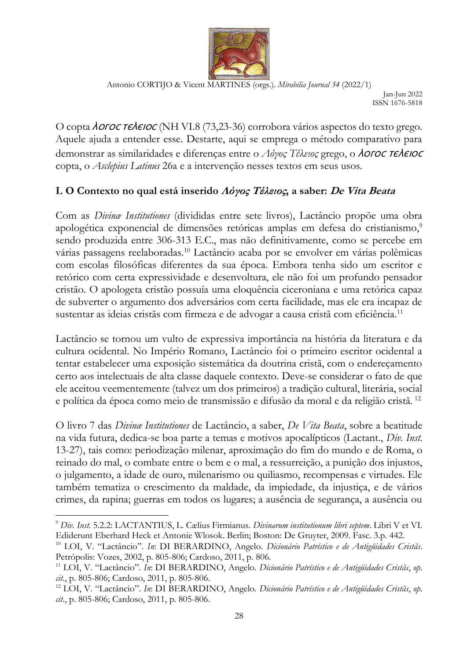

Jan-Jun 2022 ISSN 1676-5818

O copta *AOFOC TEAEIOC* (NH VI.8 (73,23-36) corrobora vários aspectos do texto grego. Aquele ajuda a entender esse. Destarte, aqui se emprega o método comparativo para demonstrar as similaridades e diferenças entre o Λόγος Τέλειος grego, o **λοΓΟΣ ΤΕλΕΙΟΣ** copta, o *Asclepius Latinus* 26a e a intervenção nesses textos em seus usos.

# **I. O Contexto no qual está inserido Λόγος Τέλειος, a saber: De Vita Beata**

Com as *Divinæ Institutiones* (divididas entre sete livros), Lactâncio propõe uma obra apologética exponencial de dimensões retóricas amplas em defesa do cristianismo,<sup>9</sup> sendo produzida entre 306-313 E.C., mas não definitivamente, como se percebe em várias passagens reelaboradas.<sup>10</sup> Lactâncio acaba por se envolver em várias polêmicas com escolas filosóficas diferentes da sua época. Embora tenha sido um escritor e retórico com certa expressividade e desenvoltura, ele não foi um profundo pensador cristão. O apologeta cristão possuía uma eloquência ciceroniana e uma retórica capaz de subverter o argumento dos adversários com certa facilidade, mas ele era incapaz de sustentar as ideias cristãs com firmeza e de advogar a causa cristã com eficiência.<sup>11</sup>

Lactâncio se tornou um vulto de expressiva importância na história da literatura e da cultura ocidental. No Império Romano, Lactâncio foi o primeiro escritor ocidental a tentar estabelecer uma exposição sistemática da doutrina cristã, com o endereçamento certo aos intelectuais de alta classe daquele contexto. Deve-se considerar o fato de que ele aceitou veementemente (talvez um dos primeiros) a tradição cultural, literária, social e política da época como meio de transmissão e difusão da moral e da religião cristã. <sup>12</sup>

O livro 7 das *Divinæ Institutiones* de Lactâncio, a saber, *De Vita Beata*, sobre a beatitude na vida futura, dedica-se boa parte a temas e motivos apocalípticos (Lactant., *Div. Inst.*  13-27), tais como: periodização milenar, aproximação do fim do mundo e de Roma, o reinado do mal, o combate entre o bem e o mal, a ressurreição, a punição dos injustos, o julgamento, a idade de ouro, milenarismo ou quiliasmo, recompensas e virtudes. Ele também tematiza o crescimento da maldade, da impiedade, da injustiça, e de vários crimes, da rapina; guerras em todos os lugares; a ausência de segurança, a ausência ou

<sup>9</sup> *Div. Inst.* 5.2.2: LACTANTIUS, L. Cælius Firmianus. *Divinarum institutionum libri septem*. Libri V et VI. Ediderunt Eberhard Heck et Antonie Wlosok. Berlin; Boston: De Gruyter, 2009. Fasc. 3.p. 442.

<sup>10</sup> LOI, V. "Lactâncio". *In*: DI BERARDINO, Angelo. *Dicionário Patrístico e de Antigüidades Cristãs*. Petrópolis: Vozes, 2002, p. 805-806; Cardoso, 2011, p. 806.

<sup>11</sup> LOI, V. "Lactâncio". *In*: DI BERARDINO, Angelo. *Dicionário Patrístico e de Antigüidades Cristãs*, *op. cit*., p. 805-806; Cardoso, 2011, p. 805-806.

<sup>12</sup> LOI, V. "Lactâncio". *In*: DI BERARDINO, Angelo. *Dicionário Patrístico e de Antigüidades Cristãs*, *op. cit*., p. 805-806; Cardoso, 2011, p. 805-806.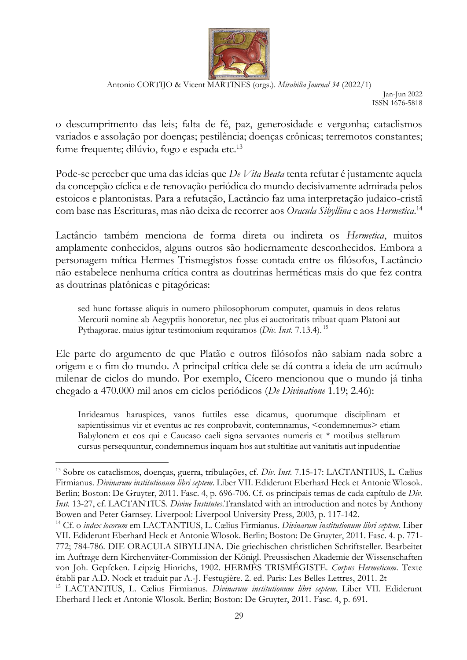

Jan-Jun 2022 ISSN 1676-5818

o descumprimento das leis; falta de fé, paz, generosidade e vergonha; cataclismos variados e assolação por doenças; pestilência; doenças crônicas; terremotos constantes; fome frequente; dilúvio, fogo e espada etc.<sup>13</sup>

Pode-se perceber que uma das ideias que *De Vita Beata* tenta refutar é justamente aquela da concepção cíclica e de renovação periódica do mundo decisivamente admirada pelos estoicos e plantonistas. Para a refutação, Lactâncio faz uma interpretação judaico-cristã com base nas Escrituras, mas não deixa de recorrer aos *Oracula Sibyllina* e aos *Hermetica*. 14

Lactâncio também menciona de forma direta ou indireta os *Hermetica*, muitos amplamente conhecidos, alguns outros são hodiernamente desconhecidos. Embora a personagem mítica Hermes Trismegistos fosse contada entre os filósofos, Lactâncio não estabelece nenhuma crítica contra as doutrinas herméticas mais do que fez contra as doutrinas platônicas e pitagóricas:

sed hunc fortasse aliquis in numero philosophorum computet, quamuis in deos relatus Mercurii nomine ab Aegyptiis honoretur, nec plus ei auctoritatis tribuat quam Platoni aut Pythagorae. maius igitur testimonium requiramos (*Div. Inst.* 7.13.4). <sup>15</sup>

Ele parte do argumento de que Platão e outros filósofos não sabiam nada sobre a origem e o fim do mundo. A principal crítica dele se dá contra a ideia de um acúmulo milenar de ciclos do mundo. Por exemplo, Cícero mencionou que o mundo já tinha chegado a 470.000 mil anos em ciclos periódicos (*De Divinatione* 1.19; 2.46):

Inrideamus haruspices, vanos futtiles esse dicamus, quorumque disciplinam et sapientissimus vir et eventus ac res conprobavit, contemnamus, <condemnemus> etiam Babylonem et eos qui e Caucaso caeli signa servantes numeris et \* motibus stellarum cursus persequuntur, condemnemus inquam hos aut stultitiae aut vanitatis aut inpudentiae

<sup>13</sup> Sobre os cataclismos, doenças, guerra, tribulações, cf. *Div. Inst.* 7.15-17: LACTANTIUS, L. Cælius Firmianus. *Divinarum institutionum libri septem*. Liber VII. Ediderunt Eberhard Heck et Antonie Wlosok. Berlin; Boston: De Gruyter, 2011. Fasc. 4, p. 696-706. Cf. os principais temas de cada capítulo de *Div. Inst.* 13-27, cf. LACTANTIUS. *Divine Institutes*.Translated with an introduction and notes by Anthony Bowen and Peter Garnsey. Liverpool: Liverpool University Press, 2003, p. 117-142.

<sup>14</sup> Cf. o *index locorum* em LACTANTIUS, L. Cælius Firmianus. *Divinarum institutionum libri septem*. Liber VII. Ediderunt Eberhard Heck et Antonie Wlosok. Berlin; Boston: De Gruyter, 2011. Fasc. 4. p. 771- 772; 784-786. DIE ORACULA SIBYLLINA. Die griechischen christlichen Schriftsteller. Bearbeitet im Auftrage dern Kirchenväter-Commission der Königl. Preussischen Akademie der Wissenschaften von Joh. Gepfcken. Leipzig Hinrichs, 1902. HERMÈS TRISMÉGISTE. *Corpus Hermeticum*. Texte établi par A.D. Nock et traduit par A.-J. Festugière. 2. ed. Paris: Les Belles Lettres, 2011. 2t

<sup>15</sup> LACTANTIUS, L. Cælius Firmianus. *Divinarum institutionum libri septem*. Liber VII. Ediderunt Eberhard Heck et Antonie Wlosok. Berlin; Boston: De Gruyter, 2011. Fasc. 4, p. 691.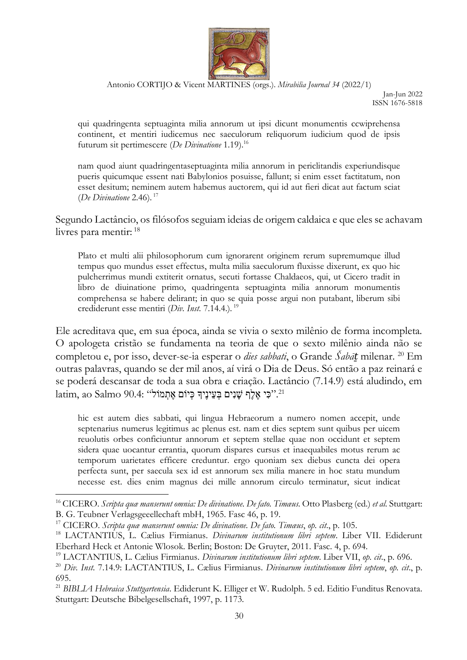

Jan-Jun 2022 ISSN 1676-5818

qui quadringenta septuaginta milia annorum ut ipsi dicunt monumentis ccwiprehensa continent, et mentiri iudicemus nec saeculorum reliquorum iudicium quod de ipsis futurum sit pertimescere (*De Divinatione* 1.19).<sup>16</sup>

nam quod aiunt quadringentaseptuaginta milia annorum in periclitandis experiundisque pueris quicumque essent nati Babylonios posuisse, fallunt; si enim esset factitatum, non esset desitum; neminem autem habemus auctorem, qui id aut fieri dicat aut factum sciat (*De Divinatione* 2.46). <sup>17</sup>

Segundo Lactâncio, os filósofos seguiam ideias de origem caldaica e que eles se achavam livres para mentir: <sup>18</sup>

Plato et multi alii philosophorum cum ignorarent originem rerum supremumque illud tempus quo mundus esset effectus, multa milia saeculorum fluxisse dixerunt, ex quo hic pulcherrimus mundi extiterit ornatus, secuti fortasse Chaldaeos, qui, ut Cicero tradit in libro de diuinatione primo, quadringenta septuaginta milia annorum monumentis comprehensa se habere delirant; in quo se quia posse argui non putabant, liberum sibi crediderunt esse mentiri (*Div. Inst.* 7.14.4.)*.* 19

Ele acreditava que, em sua época, ainda se vivia o sexto milênio de forma incompleta. O apologeta cristão se fundamenta na teoria de que o sexto milênio ainda não se completou e, por isso, dever-se-ia esperar o *dies sabbati*, o Grande *Šabāṯ* milenar. <sup>20</sup> Em outras palavras, quando se der mil anos, aí virá o Dia de Deus. Só então a paz reinará e se poderá descansar de toda a sua obra e criação. Lactâncio (7.14.9) está aludindo, em latim, ao Salmo 90.4: "כִּי אֶלֶף שַׁנִים בְּעֵינֵיךְ כִּיוֹם אֶתְמֹוֹל ".

hic est autem dies sabbati, qui lingua Hebraeorum a numero nomen accepit, unde septenarius numerus legitimus ac plenus est. nam et dies septem sunt quibus per uicem reuolutis orbes conficiuntur annorum et septem stellae quae non occidunt et septem sidera quae uocantur errantia, quorum dispares cursus et inaequabiles motus rerum ac temporum uarietates efficere creduntur. ergo quoniam sex diebus cuncta dei opera perfecta sunt, per saecula sex id est annorum sex milia manere in hoc statu mundum necesse est. dies enim magnus dei mille annorum circulo terminatur, sicut indicat

<sup>16</sup> CICERO. *Scripta quæ manserunt omnia: De divinatione. De fato. Timæus.* Otto Plasberg (ed.) *et al*. Stuttgart: B. G. Teubner Verlagsgeeellechaft mbH, 1965. Fasc 46, p. 19.

<sup>17</sup> CICERO. *Scripta quæ manserunt omnia: De divinatione. De fato. Timæus*, *op. cit*., p. 105.

<sup>18</sup> LACTANTIUS, L. Cælius Firmianus. *Divinarum institutionum libri septem*. Liber VII. Ediderunt Eberhard Heck et Antonie Wlosok. Berlin; Boston: De Gruyter, 2011. Fasc. 4, p. 694.

<sup>19</sup> LACTANTIUS, L. Cælius Firmianus. *Divinarum institutionum libri septem*. Liber VII, *op. cit*., p. 696.

<sup>20</sup> *Div. Inst.* 7.14.9: LACTANTIUS, L. Cælius Firmianus. *Divinarum institutionum libri septem*, *op. cit*., p. 695.

<sup>21</sup> *BIBLIA Hebraica Stuttgartensia*. Ediderunt K. Elliger et W. Rudolph. 5 ed. Editio Funditus Renovata. Stuttgart: Deutsche Bibelgesellschaft, 1997, p. 1173.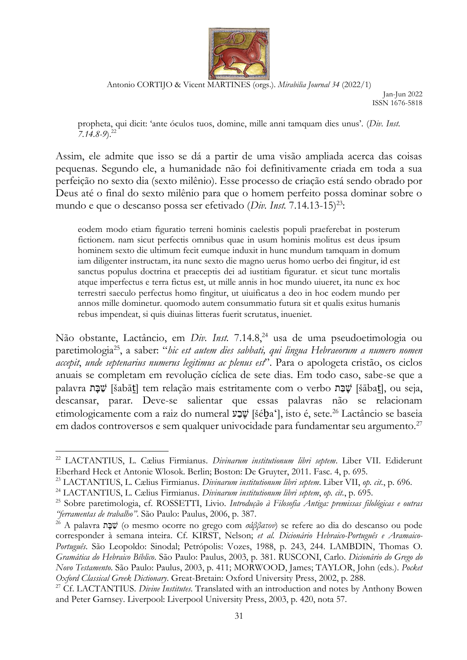

Jan-Jun 2022 ISSN 1676-5818

propheta, qui dicit: 'ante óculos tuos, domine, mille anni tamquam dies unus'. (*Div. Inst. 7.14.8-9*). 22

Assim, ele admite que isso se dá a partir de uma visão ampliada acerca das coisas pequenas. Segundo ele, a humanidade não foi definitivamente criada em toda a sua perfeição no sexto dia (sexto milênio). Esse processo de criação está sendo obrado por Deus até o final do sexto milênio para que o homem perfeito possa dominar sobre o mundo e que o descanso possa ser efetivado (*Div. Inst.* 7.14.13-15)<sup>23</sup>:

eodem modo etiam figuratio terreni hominis caelestis populi praeferebat in posterum fictionem. nam sicut perfectis omnibus quae in usum hominis molitus est deus ipsum hominem sexto die ultimum fecit eumque induxit in hunc mundum tamquam in domum iam diligenter instructam, ita nunc sexto die magno uerus homo uerbo dei fingitur, id est sanctus populus doctrina et praeceptis dei ad iustitiam figuratur. et sicut tunc mortalis atque imperfectus e terra fictus est, ut mille annis in hoc mundo uiueret, ita nunc ex hoc terrestri saeculo perfectus homo fingitur, ut uiuificatus a deo in hoc eodem mundo per annos mille dominetur. quomodo autem consummatio futura sit et qualis exitus humanis rebus impendeat, si quis diuinas litteras fuerit scrutatus, inueniet.

Não obstante, Lactâncio, em *Div. Inst.* 7.14.8,<sup>24</sup> usa de uma pseudoetimologia ou paretimologia<sup>25</sup>, a saber: "*hic est autem dies sabbati, qui lingua Hebraeorum a numero nomen accepit*, *unde septenarius numerus legitimus ac plenus est*". Para o apologeta cristão, os ciclos anuais se completam em revolução cíclica de sete dias. Em todo caso, sabe-se que a palavra שַׁבָּת [šabāt] tem relação mais estritamente com o verbo שַׁבָּת [šābat], ou seja, descansar, parar. Deve-se salientar que essas palavras não se relacionam etimologicamente com a raiz do numeral עָבָע [šéba'], isto é, sete.<sup>26</sup> Lactâncio se baseia em dados controversos e sem qualquer univocidade para fundamentar seu argumento.<sup>27</sup>

<sup>22</sup> LACTANTIUS, L. Cælius Firmianus. *Divinarum institutionum libri septem*. Liber VII. Ediderunt Eberhard Heck et Antonie Wlosok. Berlin; Boston: De Gruyter, 2011. Fasc. 4, p. 695.

<sup>23</sup> LACTANTIUS, L. Cælius Firmianus. *Divinarum institutionum libri septem*. Liber VII, *op. cit.*, p. 696.

<sup>24</sup> LACTANTIUS, L. Cælius Firmianus. *Divinarum institutionum libri septem*, *op. cit.*, p. 695.

<sup>25</sup> Sobre paretimologia, cf. ROSSETTI, Livio. *Introdução à Filosofia Antiga: premissas filológicas e outras "ferramentas de trabalho"*. São Paulo: Paulus, 2006, p. 387.

<sup>&</sup>lt;sup>26</sup> A palavra *עֲבָּ*ת (o mesmo ocorre no grego com *σάββατον*) se refere ao dia do descanso ou pode corresponder à semana inteira. Cf. KIRST, Nelson; *et al. Dicionário Hebraico-Português e Aramaico-Português*. São Leopoldo: Sinodal; Petrópolis: Vozes, 1988, p. 243, 244. LAMBDIN, Thomas O. *Gramática do Hebraico Bíblico*. São Paulo: Paulus, 2003, p. 381. RUSCONI, Carlo. *Dicionário do Grego do Novo Testamento*. São Paulo: Paulus, 2003, p. 411; MORWOOD, James; TAYLOR, John (eds.). *Pocket Oxford Classical Greek Dictionary*. Great-Bretain: Oxford University Press, 2002, p. 288.

<sup>&</sup>lt;sup>27</sup> Cf. LACTANTIUS. *Divine Institutes*. Translated with an introduction and notes by Anthony Bowen and Peter Garnsey. Liverpool: Liverpool University Press, 2003, p. 420, nota 57.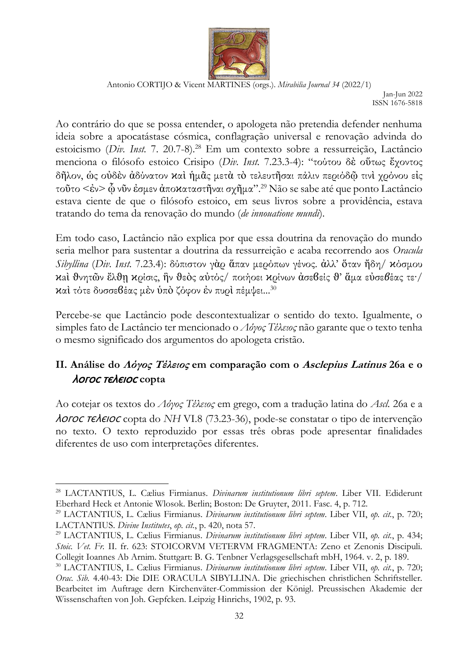

Jan-Jun 2022 ISSN 1676-5818

Ao contrário do que se possa entender, o apologeta não pretendia defender nenhuma ideia sobre a apocatástase cósmica, conflagração universal e renovação advinda do estoicismo (*Div. Inst.* 7. 20.7-8).<sup>28</sup> Em um contexto sobre a ressurreição, Lactâncio menciona o filósofo estoico Crisipo (*Div. Inst.* 7.23.3-4): "τούτου δὲ οὕτως ἔχοντος δῆλον, ὡς οὐδὲν ἀδύνατον ϰαὶ ἡμᾶς μετὰ τὸ τελευτῆσαι πάλιν περιόδῷ τινὶ χρόνου εἰς τοῦτο <ἐν> ᾧ νῦν ἐσμεν ἀποϰαταστῆναι σχῆμα".<sup>29</sup> Não se sabe até que ponto Lactâncio estava ciente de que o filósofo estoico, em seus livros sobre a providência, estava tratando do tema da renovação do mundo (*de innouatione mundi*).

Em todo caso, Lactâncio não explica por que essa doutrina da renovação do mundo seria melhor para sustentar a doutrina da ressurreição e acaba recorrendo aos *Oracula Sibyllina* (*Div. Inst.* 7.23.4): δύπιστον γὰρ ἅπαν μερόπων γένος. ἀλλ' ὅταν ἤδη/ ϰόσμου ϰaὶ ϑνητῶν ἔλϑῃ ϰρίσις, ἣν ϑεὸς αὐτός/ ποιήοει ϰρίνων ἀσεϐείς ϑ' ἅμα εὐσε*ϐ*έας τε·/ καί τότε δυσσεβέας μεν ύπο ζόφον έν πυρί πέμψει...<sup>30</sup>

Percebe-se que Lactâncio pode descontextualizar o sentido do texto. Igualmente, o simples fato de Lactâncio ter mencionado o *Λόγος Τέλειος* não garante que o texto tenha o mesmo significado dos argumentos do apologeta cristão.

# **II. Análise do Λόγος Τέλειος em comparação com o Asclepius Latinus 26a e o**  ⲗⲟⲅⲟⲥ ⲧⲉⲗⲉⲓⲟⲥ **copta**

Ao cotejar os textos do *Λόγος Τέλειος* em grego, com a tradução latina do *Ascl.* 26a e a ⲗⲟⲅⲟⲥ ⲧⲉⲗⲉⲓⲟⲥ copta do *NH* VI.8 (73.23-36), pode-se constatar o tipo de intervenção no texto. O texto reproduzido por essas três obras pode apresentar finalidades diferentes de uso com interpretações diferentes.

<sup>28</sup> LACTANTIUS, L. Cælius Firmianus. *Divinarum institutionum libri septem*. Liber VII. Ediderunt Eberhard Heck et Antonie Wlosok. Berlin; Boston: De Gruyter, 2011. Fasc. 4, p. 712.

<sup>29</sup> LACTANTIUS, L. Cælius Firmianus. *Divinarum institutionum libri septem*. Liber VII, *op. cit.*, p. 720; LACTANTIUS. *Divine Institutes*, *op. cit.*, p. 420, nota 57.

<sup>29</sup> LACTANTIUS, L. Cælius Firmianus. *Divinarum institutionum libri septem*. Liber VII, *op. cit.*, p. 434; *Stoic. Vet. Fr.* II. fr. 623: STOICORVM VETERVM FRAGMENTA: Zeno et Zenonis Discipuli. Collegit Ioannes Ab Arnim. Stuttgart: B. G. Tenbner Verlagsgesellschaft mbH, 1964. v. 2, p. 189.

<sup>30</sup> LACTANTIUS, L. Cælius Firmianus. *Divinarum institutionum libri septem*. Liber VII, *op. cit.*, p. 720; *Orac. Sib.* 4.40-43: Die DIE ORACULA SIBYLLINA. Die griechischen christlichen Schriftsteller. Bearbeitet im Auftrage dern Kirchenväter-Commission der Königl. Preussischen Akademie der Wissenschaften von Joh. Gepfcken. Leipzig Hinrichs, 1902, p. 93.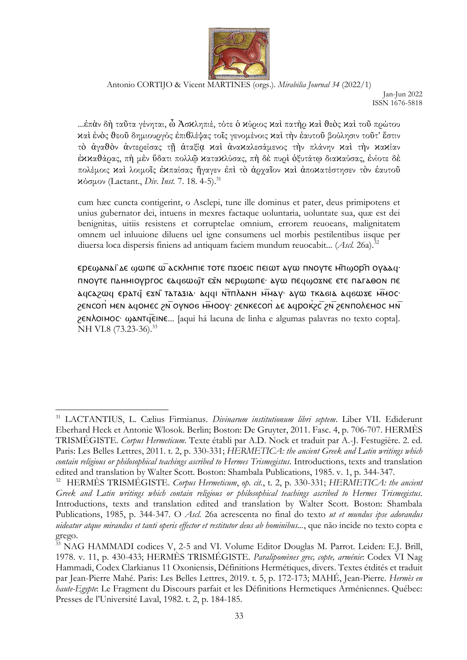

Jan-Jun 2022 ISSN 1676-5818

...ἐπὰν δὴ ταῦτα γένηται, ὦ Ἀσϰληπιέ, τότε ὁ ϰύριος ϰαὶ πατὴρ ϰαὶ ϑεὸς ϰαὶ τοῦ πρώτου ϰαὶ ἑνὸς ϑεοῦ δημιουργός ἐπιϐλέψας τοῖς γενομένοις ϰαὶ τὴν ἑαυτοῦ βούλησιν τοῦτ' ἔστιν τὸ ἀγαϑὸν ἀντερείσας τῇ ἀταξίᾳ ϰαὶ ἀναϰαλεσάμενος τὴν πλάνην ϰαὶ τὴν ϰαϰίαν ἐϰϰαϑάρας, πὴ μὲν ὕδατι πολλῷ ϰαταϰλύσας, πὴ δὲ πυρὶ ὀξυτάτῳ διαϰαύσας, ἐνίοτε δὲ πολέμοις καὶ λοιμοῖς ἐκπαίσας ἤγαγεν ἐπὶ τὸ ἀργαῖον καὶ ἀποκατέστησεν τὸν ἑαυτοῦ ϰόσμον (Lactant., *Div. Inst.* 7. 18. 4-5).<sup>31</sup>

cum hæc cuncta contigerint, ο Asclepi, tune ille dominus et pater, deus primipotens et unius gubernator dei, intuens in mexres factaque uoluntaria, uoluntate sua, quæ est dei benignitas, uitiis resistens et corruptelae omnium, errorem reuoeans, malignitatem omnem uel inluuione diluens uel igne consumens uel morbis pestilentibus iisque per diuersa loca dispersis finiens ad antiquam faciem mundum reuocabit... (*Ascl.* 26a).<sup>32</sup>

ⲉⲣⲉϣⲁⲛⲁⲓ̈ⲇⲉ ϣⲱⲡⲉ ⲱ̅ⲁⲥⲕⲗⲏⲡⲓⲉ ⲧⲟⲧⲉ ⲡϫⲟⲉⲓⲥ ⲡⲉⲓⲱⲧ ⲁⲩⲱ ⲡⲛⲟⲩⲧⲉ ⲙ̄ⲡϣⲟⲣ̄ⲡ ⲟⲩⲁⲁϥ· πΝΟΥΤΕ ΠΔΗΜΙΟΥΡΓΟΣ ΕΔΥΘϢΤ ΕΣΝ ΝΕΡΟΦΠΕ ΑΥΦ ΠΕΙΦΟΣΝΕ ΕΤΕ ΠΑΓΑΘΟΝ ΠΕ <u>λαςλελοια</u> ερλτά εχνί ταταλία· λάαι Ντηλανή Μήλαν· λόω τκλοία λάσωχε Μπος· *S***ENCOΠ** ΜΕΝ ΔΥΟΜΕΣ 2Ν ΟΥΝΟΒ ΗΜΟΟΥ· ΖΕΝΚΕΣΟΠ ΔΕ ΔΥΡΟΚΆΣ 2Ν ΖΕΝΠΟΛΕΜΟΣ ΜΝ ϩⲉⲛⲗⲟⲓⲙⲟⲥ· ϣⲁⲛⲧϥ̅ⲉⲓⲛⲉ... [aqui há lacuna de linha e algumas palavras no texto copta]. NH VI.8 (73.23-36).<sup>33</sup>

<sup>31</sup> LACTANTIUS, L. Cælius Firmianus. *Divinarum institutionum libri septem*. Liber VII. Ediderunt Eberhard Heck et Antonie Wlosok. Berlin; Boston: De Gruyter, 2011. Fasc. 4, p. 706-707. HERMÈS TRISMÉGISTE. *Corpus Hermeticum*. Texte établi par A.D. Nock et traduit par A.-J. Festugière. 2. ed. Paris: Les Belles Lettres, 2011. t. 2, p. 330-331; *HERMETICA: the ancient Greek and Latin writings which contain religious or philosophical teachings ascribed to Hermes Trismegistus*. Introductions, texts and translation edited and translation by Walter Scott. Boston: Shambala Publications, 1985. v. 1, p. 344-347.

<sup>32</sup> HERMÈS TRISMÉGISTE. *Corpus Hermeticum*, *op. cit.*, t. 2, p. 330-331; *HERMETICA: the ancient Greek and Latin writings which contain religious or philosophical teachings ascribed to Hermes Trismegistus*. Introductions, texts and translation edited and translation by Walter Scott. Boston: Shambala Publications, 1985, p. 344-347. O *Ascl.* 26a acrescenta no final do texto *ut et mundus ipse adorandus uideatur atque mirandus et tanti operis effector et restitutor deus ab hominibus...*, que não incide no texto copta e grego.

<sup>&</sup>lt;sup>33</sup> NAG HAMMADI codices V, 2-5 and VI. Volume Editor Douglas M. Parrot. Leiden: E.J. Brill, 1978. v. 11, p. 430-433; HERMÈS TRISMÉGISTE. *Paralipomènes grec, copte, arménie*: Codex VI Nag Hammadi, Codex Clarkianus 11 Oxoniensis, Définitions Hermétiques, divers. Textes étdités et traduit par Jean-Pierre Mahé. Paris: Les Belles Lettres, 2019. t. 5, p. 172-173; MAHÉ, Jean-Pierre. *Hermès en haute-Egypte*: Le Fragment du Discours parfait et les Définitions Hermetiques Arméniennes. Québec: Presses de l'Université Laval, 1982. t. 2, p. 184-185.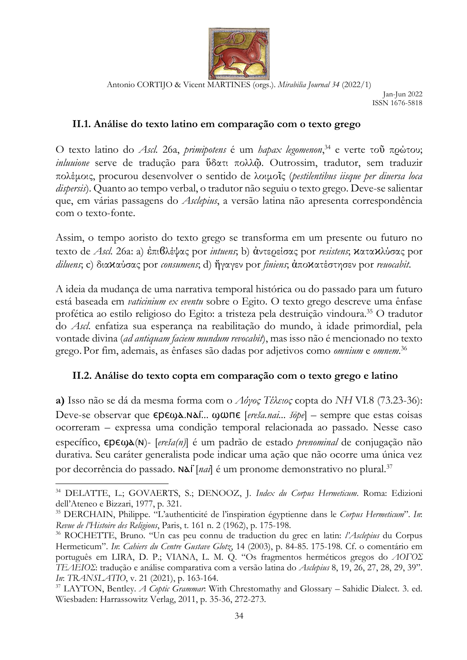

Jan-Jun 2022 ISSN 1676-5818

### **II.1. Análise do texto latino em comparação com o texto grego**

O texto latino do *Ascl.* 26a, *primipotens* é um *hapax legomenon*, <sup>34</sup> e verte τοῦ πρώτου; *inluuione* serve de tradução para ὕδατι πολλῷ. Outrossim, tradutor, sem traduzir πολέμοις, procurou desenvolver o sentido de λοιμοῖς (*pestilentibus iisque per diuersa loca dispersis*). Quanto ao tempo verbal, o tradutor não seguiu o texto grego. Deve-se salientar que, em várias passagens do *Asclepius*, a versão latina não apresenta correspondência com o texto-fonte.

Assim, o tempo aoristo do texto grego se transforma em um presente ou futuro no texto de *Ascl.* 26a: a) ἐπιϐλέψας por *intuens*; b) ἀντερείσας por *resistens*; ϰαταϰλύσας por *diluens*; c) διαϰαύσας por *consumens*; d) ἤγαγεν por *finiens*; ἀποϰατέστησεν por *reuocabit*.

A ideia da mudança de uma narrativa temporal histórica ou do passado para um futuro está baseada em *vaticinium ex eventu* sobre o Egito. O texto grego descreve uma ênfase profética ao estilo religioso do Egito: a tristeza pela destruição vindoura. <sup>35</sup> O tradutor do *Ascl*. enfatiza sua esperança na reabilitação do mundo, à idade primordial, pela vontade divina (*ad antiquam faciem mundum revocabit*), mas isso não é mencionado no texto grego. Por fim, ademais, as ênfases são dadas por adjetivos como *omnium* e *omnem*. 36

#### **II.2. Análise do texto copta em comparação com o texto grego e latino**

**a)** Isso não se dá da mesma forma com o *Λόγος Τέλειος* copta do *NH* VI.8 (73.23-36): Deve-se observar que **ερεωλ.Νλί... ωωπε** [*ereša.nai... šōpe*] – sempre que estas coisas ocorreram – expressa uma condição temporal relacionada ao passado. Nesse caso específico, ⲉⲣⲉϣⲁ(ⲛ)- [*ereša(n)*] é um padrão de estado *prenominal* de conjugação não durativa. Seu caráter generalista pode indicar uma ação que não ocorre uma única vez por decorrência do passado. Nai [*nai*] é um pronome demonstrativo no plural.<sup>37</sup>

<sup>34</sup> DELATTE, L.; GOVAERTS, S.; DENOOZ, J. *Index du Corpus Hermeticum*. Roma: Edizioni dell'Ateneo e Bizzari, 1977, p. 321.

<sup>35</sup> DERCHAIN, Philippe. "L'authenticité de l'inspiration égyptienne dans le *Corpus Hermeticum*". *In*: *Revue de l'Histoire des Religions*, Paris, t. 161 n. 2 (1962), p. 175-198.

<sup>36</sup> ROCHETTE, Bruno. "Un cas peu connu de traduction du grec en latin: *l'Asclepius* du Corpus Hermeticum". *In*: *Cahiers du Centre Gustave Glotz*, 14 (2003), p. 84-85. 175-198. Cf. o comentário em português em LIRA, D. P.; VIANA, L. M. Q. "Os fragmentos herméticos gregos do *ΛΟΓΟΣ ΤΕΛΕΙΟΣ*: tradução e análise comparativa com a versão latina do *Asclepius* 8, 19, 26, 27, 28, 29, 39". *In*: *TRANSLATIO*, v. 21 (2021), p. 163-164.

<sup>&</sup>lt;sup>37</sup> LAYTON, Bentley. *A Coptic Grammar*: With Chrestomathy and Glossary – Sahidic Dialect. 3. ed. Wiesbaden: Harrassowitz Verlag, 2011, p. 35-36, 272-273.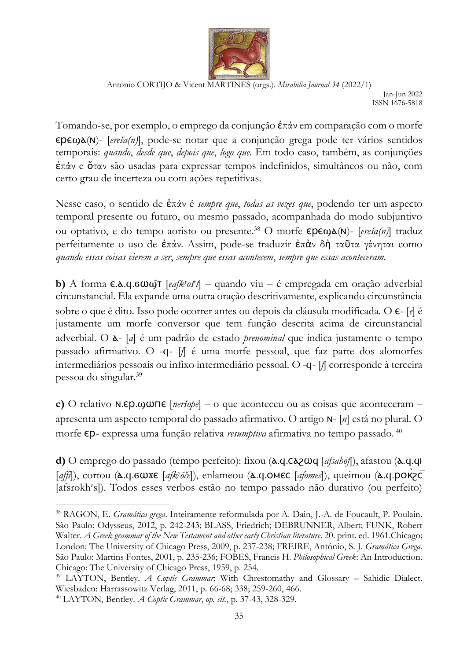

Jan-Jun 2022 ISSN 1676-5818

Tomando-se, por exemplo, o emprego da conjunção ἐπάν em comparação com o morfe ⲉⲣⲉϣⲁ(ⲛ)- [*ereša(n)*], pode-se notar que a conjunção grega pode ter vários sentidos temporais: *quando*, *desde que*, *depois que*, *logo que*. Em todo caso, também, as conjunções ἐπάν e ὅταν são usadas para expressar tempos indefinidos, simultâneos ou não, com certo grau de incerteza ou com ações repetitivas.

Nesse caso, o sentido de ἐπάν é *sempre que*, *todas as vezes que*, podendo ter um aspecto temporal presente ou futuro, ou mesmo passado, acompanhada do modo subjuntivo ou optativo, e do tempo aoristo ou presente. <sup>38</sup> O morfe ⲉⲣⲉϣⲁ(ⲛ)- [*ereša(n)*] traduz perfeitamente o uso de ἐπάν. Assim, pode-se traduzir ἐπὰν δὴ ταῦτα γένηται como *quando essas coisas vierem a ser*, *sempre que essas acontecem*, *sempre que essas aconteceram*.

**b)** A forma ε.λ. q. 6 ω ω <sup>T</sup> [*eafk<sup>y</sup>ōš<sup>k</sup>]* – quando viu – é empregada em oração adverbial circunstancial. Ela expande uma outra oração descritivamente, explicando circunstância sobre o que é dito. Isso pode ocorrer antes ou depois da cláusula modificada. O ⲉ- [*e*] é justamente um morfe conversor que tem função descrita acima de circunstancial adverbial. O ⲁ- [*a*] é um padrão de estado *prenominal* que indica justamente o tempo passado afirmativo. O -ϥ- [*f*] é uma morfe pessoal, que faz parte dos alomorfes intermediários pessoais ou infixo intermediário pessoal. O -ϥ- [*f*] corresponde à terceira pessoa do singular.<sup>39</sup>

**c)** O relativo ⲛ.ⲉⲣ.ϣⲱⲡⲉ [*neršōpe*] – o que aconteceu ou as coisas que aconteceram – apresenta um aspecto temporal do passado afirmativo. O artigo ⲛ- [*n*] está no plural. O morfe ⲉⲣ- expressa uma função relativa *resumptiva* afirmativa no tempo passado. <sup>40</sup>

**d)** O emprego do passado (tempo perfeito): fixou (ⲁ.ϥ.ⲥⲁϩⲱϥ [*afsahōf*]), afastou (ⲁ.ϥ.ϥⲓ [affi]), cortou (**λ**. **q**. 6ωχε [afk<sup>y</sup>oče]), enlameou (λ. **q**. ΟΜΕΣ [afomes]), queimou (λ. **q. poκς**Σ [afsrokh<sup>e</sup>s]). Todos esses verbos estão no tempo passado não durativo (ou perfeito)

<sup>38</sup> RAGON, E. *Gramática grega*. Inteiramente reformulada por A. Dain, J.-A. de Foucault, P. Poulain. São Paulo: Odysseus, 2012, p. 242-243; BLASS, Friedrich; DEBRUNNER, Albert; FUNK, Robert Walter. *A Greek grammar of the New Testament and other early Christian literature*. 20. print. ed. 1961.Chicago; London: The University of Chicago Press, 2009, p. 237-238; FREIRE, Antônio, S. J. *Gramática Grega.* São Paulo: Martins Fontes, 2001, p. 235-236; FOBES, Francis H. *Philosophical Greek*: An Introduction. Chicago: The University of Chicago Press, 1959, p. 254.

<sup>39</sup> LAYTON, Bentley. *A Coptic Grammar*: With Chrestomathy and Glossary – Sahidic Dialect. Wiesbaden: Harrassowitz Verlag, 2011, p. 66-68; 338; 259-260, 466.

<sup>40</sup> LAYTON, Bentley. *A Coptic Grammar*, *op. cit.*, p. 37-43, 328-329.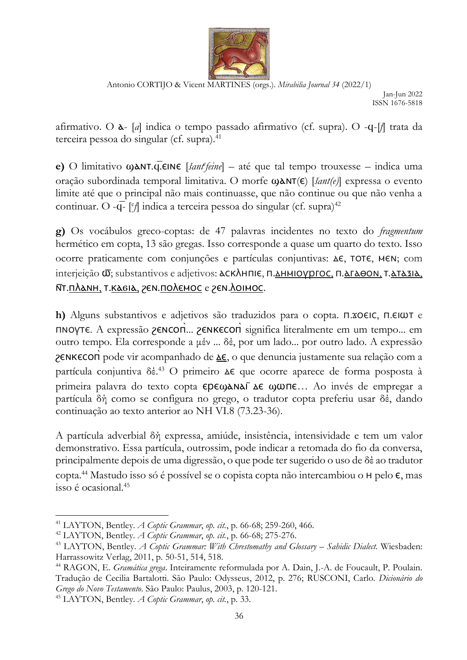

Jan-Jun 2022 ISSN 1676-5818

afirmativo. O ⲁ- [*a*] indica o tempo passado afirmativo (cf. supra). O -ϥ-[*f*] trata da terceira pessoa do singular (cf. supra).<sup>41</sup>

**e)** O limitativo ϣⲁⲛⲧ.ϥ̅.ⲉⲓⲛⲉ [*šant<sup>e</sup> feine*] – até que tal tempo trouxesse – indica uma oração subordinada temporal limitativa. O morfe ϣⲁⲛⲧ(ⲉ) [*šant(e)*] expressa o evento limite até que o principal não mais continuasse, que não continue ou que não venha a continuar. O -q- [<sup>e</sup>/] indica a terceira pessoa do singular (cf. supra)<sup>42</sup>

**g)** Os vocábulos greco-coptas: de 47 palavras incidentes no texto do *fragmentum* hermético em copta, 13 são gregas. Isso corresponde a quase um quarto do texto. Isso ocorre praticamente com conjunções e partículas conjuntivas: ⲇⲉ, ⲧⲟⲧⲉ, ⲙⲉⲛ; com interjeição **ω**; substantivos e adjetivos: **λΟΚΛΗΠΙΕ, Π.ΔΗΜΙΟΥΡΓΟΣ, Π.ΔΓΑΘΟΝ, Τ.ΔΤΑΣΙΑ**, সτ.πλανΗ, τ.κασια, γεν.πολεμος e γεν.λοιμος.

**h)** Alguns substantivos e adjetivos são traduzidos para o copta. ⲡ.ϫⲟⲉⲓⲥ, ⲡ.ⲉⲓⲱⲧ e ΠΝΟΥΤΕ. A expressão *ρ* εΝ τοπ... *ρ* εΝ κετάστα significa literalmente em um tempo... em outro tempo. Ela corresponde a μέν ... δέ, por um lado... por outro lado. A expressão ZENKECOΠ pode vir acompanhado de Δε, o que denuncia justamente sua relação com a partícula conjuntiva δέ.<sup>43</sup> O primeiro Δε que ocorre aparece de forma posposta à primeira palavra do texto copta ⲉⲣⲉϣⲁⲛⲁⲓ̈ ⲇⲉ ϣⲱⲡⲉ… Ao invés de empregar a partícula δή como se configura no grego, o tradutor copta preferiu usar δέ, dando continuação ao texto anterior ao NH VI.8 (73.23-36).

A partícula adverbial δή expressa, amiúde, insistência, intensividade e tem um valor demonstrativo. Essa partícula, outrossim, pode indicar a retomada do fio da conversa, principalmente depois de uma digressão, o que pode ter sugerido o uso de δέ ao tradutor copta. <sup>44</sup> Mastudo isso só é possível se o copista copta não intercambiou o ⲏ pelo ⲉ, mas isso é ocasional.<sup>45</sup>

<sup>41</sup> LAYTON, Bentley. *A Coptic Grammar*, *op. cit.*, p. 66-68; 259-260, 466.

<sup>42</sup> LAYTON, Bentley. *A Coptic Grammar*, *op. cit.*, p. 66-68; 275-276.

<sup>&</sup>lt;sup>43</sup> LAYTON, Bentley. *A Coptic Grammar: With Chrestomathy and Glossary – Sahidic Dialect*. Wiesbaden: Harrassowitz Verlag, 2011, p. 50-51, 514, 518.

<sup>44</sup> RAGON, E. *Gramática grega*. Inteiramente reformulada por A. Dain, J.-A. de Foucault, P. Poulain. Tradução de Cecilia Bartalotti. São Paulo: Odysseus, 2012, p. 276; RUSCONI, Carlo. *Dicionário do Grego do Novo Testamento*. São Paulo: Paulus, 2003, p. 120-121.

<sup>45</sup> LAYTON, Bentley. *A Coptic Grammar*, *op. cit.*, p. 33.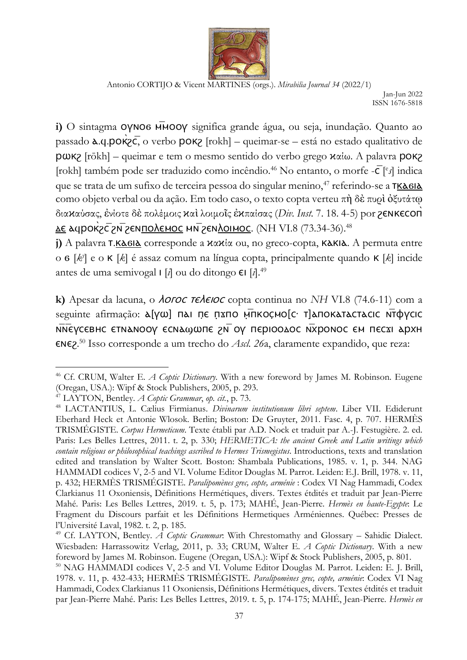

Antonio CORTIJO & Vicent MARTINES (orgs.). *Mirabilia Journal 34* (2022/1) Jan-Jun 2022 ISSN 1676-5818

i) O sintagma **ΟΥΝΟ6 ΗΜΟΟΥ** significa grande água, ou seja, inundação. Quanto ao passado ⲁ.ϥ.ⲣⲟⲕ̀ϩⲥ̅, o verbo ⲣⲟⲕϩ [rokh] – queimar-se – está no estado qualitativo de ⲣⲱⲕϩ [rōkh] – queimar e tem o mesmo sentido do verbo grego ϰαίω. A palavra ⲣⲟⲕϩ [rokh] também pode ser traduzido como incêndio.<sup>46</sup> No entanto, o morfe - $\bar{C}$ [<sup>e</sup>s] indica que se trata de um sufixo de terceira pessoa do singular menino,<sup>47</sup> referindo-se a **TKA6I** como objeto verbal ou da ação. Em todo caso, o texto copta verteu πὴ δὲ πυρὶ ὀξυτάτῳ διαϰαύσας, ἐνίοτε δὲ πολέμοις ϰαὶ λοιμοῖς ἐϰπαίσας (*Div. Inst.* 7. 18. 4-5) por ϩⲉⲛⲕⲉⲥⲟⲡ̀  $\Delta$ ε λαμροκες εναπολεπος μητερώθησε. (NH VI.8 (73.34-36).<sup>48</sup>

 $j$ ) A palavra **τ.** Κλεθλ corresponde a κακία ou, no greco-copta, Κλεθλ. A permuta entre o ϭ [*k y* ] e o ⲕ [*k*] é assaz comum na língua copta, principalmente quando ⲕ [*k*] incide antes de uma semivogal ⲓ [*i*] ou do ditongo ⲉⲓ [*i*].<sup>49</sup>

k) Apesar da lacuna, o *AOFOC TEAEIOC* copta continua no *NH* VI.8 (74.6-11) com a seguinte afirmação: «[VW] nai ne nxno μπκος μοίς· τ] αποκαταστασις Ντάνσις সΝεγсєвнс єтнанооу єснафилє го тор періоодос ни роки песхі архн ⲉⲛⲉϩ. <sup>50</sup> Isso corresponde a um trecho do *Ascl. 26*a, claramente expandido, que reza:

<sup>46</sup> Cf. CRUM, Walter E. *A Coptic Dictionary*. With a new foreword by James M. Robinson. Eugene (Oregan, USA.): Wipf & Stock Publishers, 2005, p. 293.

<sup>47</sup> LAYTON, Bentley. *A Coptic Grammar*, *op. cit.*, p. 73.

<sup>48</sup> LACTANTIUS, L. Cælius Firmianus. *Divinarum institutionum libri septem*. Liber VII. Ediderunt Eberhard Heck et Antonie Wlosok. Berlin; Boston: De Gruyter, 2011. Fasc. 4, p. 707. HERMÈS TRISMÉGISTE. *Corpus Hermeticum*. Texte établi par A.D. Nock et traduit par A.-J. Festugière. 2. ed. Paris: Les Belles Lettres, 2011. t. 2, p. 330; *HERMETICA: the ancient Greek and Latin writings which contain religious or philosophical teachings ascribed to Hermes Trismegistus*. Introductions, texts and translation edited and translation by Walter Scott. Boston: Shambala Publications, 1985. v. 1, p. 344. NAG HAMMADI codices V, 2-5 and VI. Volume Editor Douglas M. Parrot. Leiden: E.J. Brill, 1978. v. 11, p. 432; HERMÈS TRISMÉGISTE. *Paralipomènes grec, copte, arménie* : Codex VI Nag Hammadi, Codex Clarkianus 11 Oxoniensis, Définitions Hermétiques, divers. Textes étdités et traduit par Jean-Pierre Mahé. Paris: Les Belles Lettres, 2019. t. 5, p. 173; MAHÉ, Jean-Pierre. *Hermès en haute-Egypte*: Le Fragment du Discours parfait et les Définitions Hermetiques Arméniennes. Québec: Presses de l'Université Laval, 1982. t. 2, p. 185.

<sup>49</sup> Cf. LAYTON, Bentley. *A Coptic Grammar*: With Chrestomathy and Glossary – Sahidic Dialect. Wiesbaden: Harrassowitz Verlag, 2011, p. 33; CRUM, Walter E. *A Coptic Dictionary*. With a new foreword by James M. Robinson. Eugene (Oregan, USA.): Wipf & Stock Publishers, 2005, p. 801.

<sup>&</sup>lt;sup>50</sup> NAG HAMMADI codices V, 2-5 and VI. Volume Editor Douglas M. Parrot. Leiden: E. J. Brill, 1978. v. 11, p. 432-433; HERMÈS TRISMÉGISTE. *Paralipomènes grec, copte, arménie*: Codex VI Nag Hammadi, Codex Clarkianus 11 Oxoniensis, Définitions Hermétiques, divers. Textes étdités et traduit par Jean-Pierre Mahé. Paris: Les Belles Lettres, 2019. t. 5, p. 174-175; MAHÉ, Jean-Pierre. *Hermès en*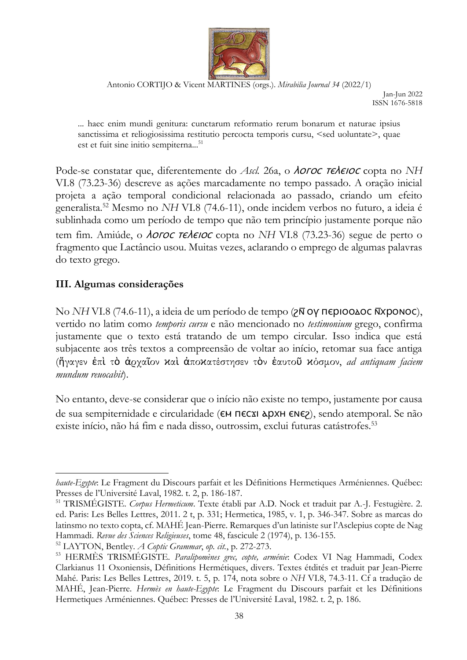

Jan-Jun 2022 ISSN 1676-5818

... haec enim mundi genitura: cunctarum reformatio rerum bonarum et naturae ipsius sanctissima et reliogiosissima restitutio percocta temporis cursu, <sed uoluntate>, quae est et fuit sine initio sempiterna...<sup>51</sup>

Pode-se constatar que, diferentemente do *Ascl.* 26a, o *Aoroc releioc* copta no NH VI.8 (73.23-36) descreve as ações marcadamente no tempo passado. A oração inicial projeta a ação temporal condicional relacionada ao passado, criando um efeito generalista.<sup>52</sup> Mesmo no *NH* VI.8 (74.6-11), onde incidem verbos no futuro, a ideia é sublinhada como um período de tempo que não tem princípio justamente porque não tem fim. Amiúde, o *AOFOC TEAEIOC* copta no *NH* VI.8 (73.23-36) segue de perto o fragmento que Lactâncio usou. Muitas vezes, aclarando o emprego de algumas palavras do texto grego.

## **III. Algumas considerações**

No *NH* VI.8 (74.6-11), a ideia de um período de tempo (2Ν ΟΥ ΠΕΡΙΟΟΔΟΣ ΝΑΤΟΝΟΣ), vertido no latim como *temporis cursu* e não mencionado no *testimonium* grego, confirma justamente que o texto está tratando de um tempo circular. Isso indica que está subjacente aos três textos a compreensão de voltar ao início, retomar sua face antiga (ἤγαγεν ἐπὶ τὸ ἀρχαῖον ϰαὶ ἀποϰατέστησεν τὸν ἑαυτοῦ ϰόσμον, *ad antiquam faciem mundum reuocabit*).

No entanto, deve-se considerar que o início não existe no tempo, justamente por causa de sua sempiternidade e circularidade (**EM ΠΕC**ΣΙ ΔDΧΗ ΕΝΕ2), sendo atemporal. Se não existe início, não há fim e nada disso, outrossim, exclui futuras catástrofes.<sup>53</sup>

*haute-Egypte*: Le Fragment du Discours parfait et les Définitions Hermetiques Arméniennes. Québec: Presses de l'Université Laval, 1982. t. 2, p. 186-187.

<sup>51</sup> TRISMÉGISTE. *Corpus Hermeticum*. Texte établi par A.D. Nock et traduit par A.-J. Festugière. 2. ed. Paris: Les Belles Lettres, 2011. 2 t, p. 331; Hermetica, 1985, v. 1, p. 346-347. Sobre as marcas do latinsmo no texto copta, cf. MAHÉ Jean-Pierre. Remarques d'un latiniste sur l'Asclepius copte de Nag Hammadi. *Revue des Sciences Religieuses*, tome 48, fascicule 2 (1974), p. 136-155.

<sup>52</sup> LAYTON, Bentley. *A Coptic Grammar*, *op. cit.*, p. 272-273.

<sup>53</sup> HERMÈS TRISMÉGISTE. *Paralipomènes grec, copte, arménie*: Codex VI Nag Hammadi, Codex Clarkianus 11 Oxoniensis, Définitions Hermétiques, divers. Textes étdités et traduit par Jean-Pierre Mahé. Paris: Les Belles Lettres, 2019. t. 5, p. 174, nota sobre o *NH* VI.8, 74.3-11. Cf a tradução de MAHÉ, Jean-Pierre. *Hermès en haute-Egypte*: Le Fragment du Discours parfait et les Définitions Hermetiques Arméniennes. Québec: Presses de l'Université Laval, 1982. t. 2, p. 186.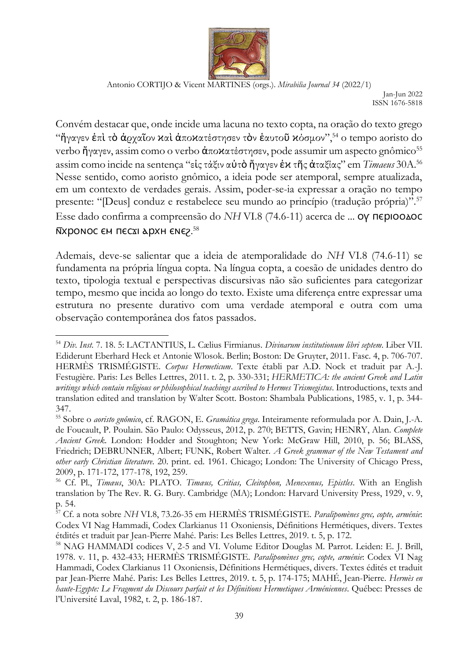

Jan-Jun 2022 ISSN 1676-5818

Convém destacar que, onde incide uma lacuna no texto copta, na oração do texto grego "ήγαγεν έπι το άρχαΐον και άποκατέστησεν τον έαυτοῦ κόσμον",  $54$  o tempo aoristo do verbo ἤγαγεν, assim como o verbo ἀποκατέστησεν, pode assumir um aspecto gnômico<sup>55</sup> assim como incide na sentença "εἰς τάξιν αὐτὸ ἤγαγεν ἐϰ τῆς ἀταξίας" em *Timaeus* 30A.<sup>56</sup> Nesse sentido, como aoristo gnômico, a ideia pode ser atemporal, sempre atualizada, em um contexto de verdades gerais. Assim, poder-se-ia expressar a oração no tempo presente: "[Deus] conduz e restabelece seu mundo ao princípio (tradução própria)".<sup>57</sup> Esse dado confirma a compreensão do *NH* VI.8 (74.6-11) acerca de ... **Ο ΓΠΕΡΙΟΟΔΟΣ**  $\bar{N}$ хромос єм пєсхі архн ємє $z^{58}$ 

Ademais, deve-se salientar que a ideia de atemporalidade do *NH* VI.8 (74.6-11) se fundamenta na própria língua copta. Na língua copta, a coesão de unidades dentro do texto, tipologia textual e perspectivas discursivas não são suficientes para categorizar tempo, mesmo que incida ao longo do texto. Existe uma diferença entre expressar uma estrutura no presente durativo com uma verdade atemporal e outra com uma observação contemporânea dos fatos passados.

<sup>54</sup> *Div. Inst.* 7. 18. 5: LACTANTIUS, L. Cælius Firmianus. *Divinarum institutionum libri septem*. Liber VII. Ediderunt Eberhard Heck et Antonie Wlosok. Berlin; Boston: De Gruyter, 2011. Fasc. 4, p. 706-707. HERMÈS TRISMÉGISTE. *Corpus Hermeticum*. Texte établi par A.D. Nock et traduit par A.-J. Festugière. Paris: Les Belles Lettres, 2011. t. 2, p. 330-331; *HERMETICA: the ancient Greek and Latin writings which contain religious or philosophical teachings ascribed to Hermes Trismegistus*. Introductions, texts and translation edited and translation by Walter Scott. Boston: Shambala Publications, 1985, v. 1, p. 344- 347.

<sup>55</sup> Sobre o *aoristo gnômico*, cf. RAGON, E. *Gramática grega*. Inteiramente reformulada por A. Dain, J.-A. de Foucault, P. Poulain. São Paulo: Odysseus, 2012, p. 270; BETTS, Gavin; HENRY, Alan. *Complete Ancient Greek*. London: Hodder and Stoughton; New York: McGraw Hill, 2010, p. 56; BLASS, Friedrich; DEBRUNNER, Albert; FUNK, Robert Walter. *A Greek grammar of the New Testament and other early Christian literature*. 20. print. ed. 1961. Chicago; London: The University of Chicago Press, 2009, p. 171-172, 177-178, 192, 259.

<sup>56</sup> Cf. Pl., *Timæus*, 30A: PLATO. *Timæus, Critias, Cleitophon, Menexenus, Epistles*. With an English translation by The Rev. R. G. Bury. Cambridge (MA); London: Harvard University Press, 1929, v. 9, p. 54.

<sup>57</sup> Cf. a nota sobre *NH* VI.8, 73.26-35 em HERMÈS TRISMÉGISTE. *Paralipomènes grec, copte, arménie*: Codex VI Nag Hammadi, Codex Clarkianus 11 Oxoniensis, Définitions Hermétiques, divers. Textes étdités et traduit par Jean-Pierre Mahé. Paris: Les Belles Lettres, 2019. t. 5, p. 172.

<sup>&</sup>lt;sup>58</sup> NAG HAMMADI codices V, 2-5 and VI. Volume Editor Douglas M. Parrot. Leiden: E. J. Brill, 1978. v. 11, p. 432-433; HERMÈS TRISMÉGISTE. *Paralipomènes grec, copte, arménie*: Codex VI Nag Hammadi, Codex Clarkianus 11 Oxoniensis, Définitions Hermétiques, divers. Textes édités et traduit par Jean-Pierre Mahé. Paris: Les Belles Lettres, 2019. t. 5, p. 174-175; MAHÉ, Jean-Pierre. *Hermès en haute-Egypte: Le Fragment du Discours parfait et les Définitions Hermetiques Arméniennes*. Québec: Presses de l'Université Laval, 1982, t. 2, p. 186-187.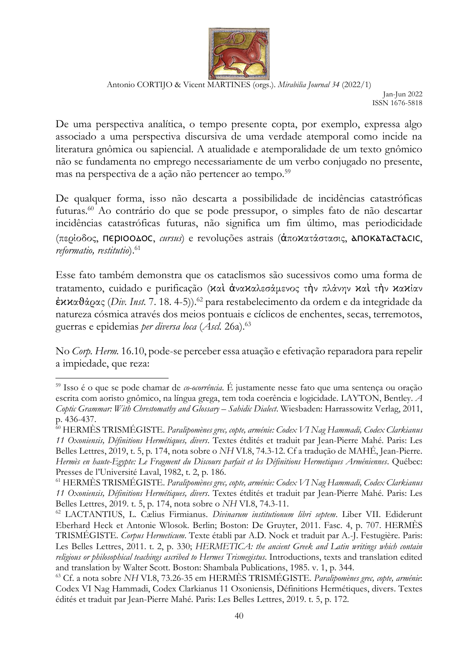

Jan-Jun 2022 ISSN 1676-5818

De uma perspectiva analítica, o tempo presente copta, por exemplo, expressa algo associado a uma perspectiva discursiva de uma verdade atemporal como incide na literatura gnômica ou sapiencial. A atualidade e atemporalidade de um texto gnômico não se fundamenta no emprego necessariamente de um verbo conjugado no presente, mas na perspectiva de a ação não pertencer ao tempo.<sup>59</sup>

De qualquer forma, isso não descarta a possibilidade de incidências catastróficas futuras.<sup>60</sup> Ao contrário do que se pode pressupor, o simples fato de não descartar incidências catastróficas futuras, não significa um fim último, mas periodicidade (περίοδος, ⲡⲉⲣⲓⲟⲟⲇⲟⲥ, *cursus*) e revoluções astrais (ἀποϰατάστασις, ⲁⲡⲟⲕⲁⲧⲁⲥⲧⲁⲥⲓⲥ, *reformatio, restitutio*).<sup>61</sup>

Esse fato também demonstra que os cataclismos são sucessivos como uma forma de tratamento, cuidado e purificação (καὶ ἀνακαλεσάμενος τὴν πλάνην καὶ τὴν κακίαν ἐϰϰαϑάρας (*Div. Inst.* 7. 18. 4-5)). <sup>62</sup> para restabelecimento da ordem e da integridade da natureza cósmica através dos meios pontuais e cíclicos de enchentes, secas, terremotos, guerras e epidemias *per diversa loca* (*Ascl.* 26a).<sup>63</sup>

No *Corp. Herm.* 16.10, pode-se perceber essa atuação e efetivação reparadora para repelir a impiedade, que reza:

<sup>59</sup> Isso é o que se pode chamar de *co-ocorrência*. É justamente nesse fato que uma sentença ou oração escrita com aoristo gnômico, na língua grega, tem toda coerência e logicidade. LAYTON, Bentley. *A Coptic Grammar: With Chrestomathy and Glossary – Sahidic Dialect.* Wiesbaden: Harrassowitz Verlag, 2011, p. 436-437.

<sup>60</sup> HERMÈS TRISMÉGISTE. *Paralipomènes grec, copte, arménie: Codex VI Nag Hammadi, Codex Clarkianus 11 Oxoniensis, Définitions Hermétiques, divers*. Textes étdités et traduit par Jean-Pierre Mahé. Paris: Les Belles Lettres, 2019, t. 5, p. 174, nota sobre o *NH* VI.8, 74.3-12. Cf a tradução de MAHÉ, Jean-Pierre. *Hermès en haute-Egypte: Le Fragment du Discours parfait et les Définitions Hermetiques Arméniennes*. Québec: Presses de l'Université Laval, 1982, t. 2, p. 186.

<sup>61</sup> HERMÈS TRISMÉGISTE. *Paralipomènes grec, copte, arménie: Codex VI Nag Hammadi, Codex Clarkianus 11 Oxoniensis, Définitions Hermétiques, divers*. Textes étdités et traduit par Jean-Pierre Mahé. Paris: Les Belles Lettres, 2019. t. 5, p. 174, nota sobre o *NH* VI.8, 74.3-11.

<sup>62</sup> LACTANTIUS, L. Cælius Firmianus. *Divinarum institutionum libri septem*. Liber VII. Ediderunt Eberhard Heck et Antonie Wlosok. Berlin; Boston: De Gruyter, 2011. Fasc. 4, p. 707. HERMÈS TRISMÉGISTE. *Corpus Hermeticum*. Texte établi par A.D. Nock et traduit par A.-J. Festugière. Paris: Les Belles Lettres, 2011. t. 2, p. 330; *HERMETICA: the ancient Greek and Latin writings which contain religious or philosophical teachings ascribed to Hermes Trismegistus*. Introductions, texts and translation edited and translation by Walter Scott. Boston: Shambala Publications, 1985. v. 1, p. 344.

<sup>63</sup> Cf. a nota sobre *NH* VI.8, 73.26-35 em HERMÈS TRISMÉGISTE. *Paralipomènes grec, copte, arménie*: Codex VI Nag Hammadi, Codex Clarkianus 11 Oxoniensis, Définitions Hermétiques, divers. Textes édités et traduit par Jean-Pierre Mahé. Paris: Les Belles Lettres, 2019. t. 5, p. 172.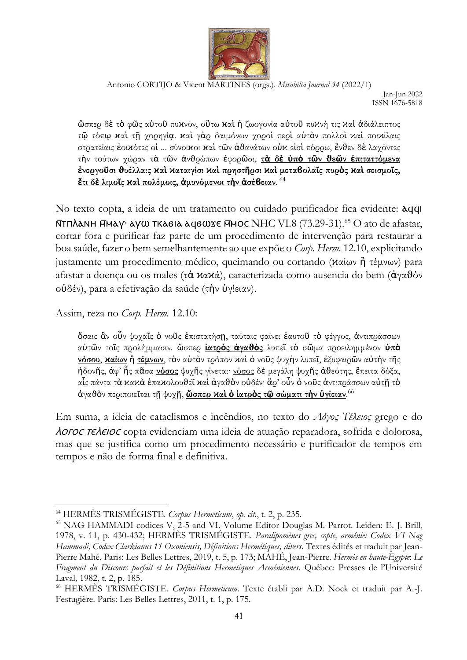

Antonio CORTIJO & Vicent MARTINES (orgs.). *Mirabilia Journal 34* (2022/1) Jan-Jun 2022 ISSN 1676-5818

ὥσπερ δὲ τὸ φῶς αὐτοῦ πυϰνόν, οὕτω ϰαὶ ἡ ζωογονία αὐτοῦ πυϰνή τις ϰαὶ ἀδιάλειπτος τῷ τόπῳ ϰαὶ τῇ χορηγίᾳ. ϰαὶ γὰρ δαιμόνων χοροὶ περὶ αὐτὸν πολλοὶ ϰαὶ ποιϰίλαις στρατείαις έοικότες οί ... σύνοικοι καὶ τῶν ἀθανάτων οὐκ είσὶ πόρρω, ἔνθεν δὲ λαγόντες τὴν τούτων χώραν τὰ τῶν ἀνϑρώπων ἐφορῶσι, **τὰ δὲ ὑπὸ τῶν ϑεῶν ἐπιταττόμενα**  ένεργούσι θυέλλαις καί καταιγίσι καί πρηστήρσι καί μεταβολαΐς πυρός καί σεισμοΐς. **ἔτι δὲ λιμοῖς ϰαὶ πολέμοις, ἀμυνόμενοι τὴν ἀσέϐειαν**. 64

No texto copta, a ideia de um tratamento ou cuidado purificador fica evidente: ⲁϥϥⲓ <u>Ν</u>ΤΠλαΝΗ ΜΗΔΥ αγω ΤΚΑ6ΙΑ αφ6ωχε ΜΗΟΣ ΝΗΣ VI.8 (73.29-31).<sup>65</sup> Ο ato de afastar, cortar fora e purificar faz parte de um procedimento de intervenção para restaurar a boa saúde, fazer o bem semelhantemente ao que expõe o *Corp. Herm.* 12.10, explicitando justamente um procedimento médico, queimando ou cortando (ϰαίων ἢ τέμνων) para afastar a doença ou os males (τὰ ϰαϰά), caracterizada como ausencia do bem (ἀγαθόν οὐδέν), para a efetivação da saúde (τὴν ὑγίειαν).

Assim, reza no *Corp. Herm.* 12.10:

ὅσαις ἂν οὖν ψυχαῖς ὁ νοῦς ἐπιστατήσῃ, ταύταις φαίνει ἑαυτοῦ τὸ φέγγος, ἀντιπράσσων αὐτῶν τοῖς προλήμμασιν. ὥσπερ **ἰατρὸς ἀγαϑὸς** λυπεῖ τὸ σῶμα προειλημμένον **ὑπὸ νόσου**, **ϰαίων** ἢ **τέμνων**, τὸν αὐτὸν τρόπον ϰαὶ ὁ νοῦς ψυχὴν λυπεῖ, ἐξυφαιρῶν αὐτὴν τῆς ἡδονῆς, ἀφ' ἧς πᾶσα **νόσος** ψυχῆς γίνεται· νόσος δὲ μεγάλη ψυχῆς ἀϑεότης, ἔπειτα δόξα, αἷς πάντα τά κακά έπακολουθεῖ καὶ ἀγαθὸν οὐδέν· ἄρ' οὖν ὁ νοῦς ἀντιπράσσων αὐτῆ τὸ ἀγαϑὸν περιποιεῖται τῇ ψυχῇ, **ὥσπερ ϰαὶ ὁ ἰατρὸς τῷ σώματι τὴν ὑγίειαν**. 66

Em suma, a ideia de cataclismos e incêndios, no texto do *Λόγος Τέλειος* grego e do *Noroc releioc* copta evidenciam uma ideia de atuação reparadora, sofrida e dolorosa, mas que se justifica como um procedimento necessário e purificador de tempos em tempos e não de forma final e definitiva.

<sup>64</sup> HERMÈS TRISMÉGISTE. *Corpus Hermeticum*, *op. cit.*, t. 2, p. 235.

<sup>65</sup> NAG HAMMADI codices V, 2-5 and VI. Volume Editor Douglas M. Parrot. Leiden: E. J. Brill, 1978, v. 11, p. 430-432; HERMÈS TRISMÉGISTE. *Paralipomènes grec, copte, arménie: Codex VI Nag Hammadi, Codex Clarkianus 11 Oxoniensis, Définitions Hermétiques, divers*. Textes édités et traduit par Jean-Pierre Mahé. Paris: Les Belles Lettres, 2019, t. 5, p. 173; MAHÉ, Jean-Pierre. *Hermès en haute-Egypte*: *Le Fragment du Discours parfait et les Définitions Hermetiques Arméniennes*. Québec: Presses de l'Université Laval, 1982, t. 2, p. 185.

<sup>66</sup> HERMÈS TRISMÉGISTE. *Corpus Hermeticum*. Texte établi par A.D. Nock et traduit par A.-J. Festugière. Paris: Les Belles Lettres, 2011, t. 1, p. 175.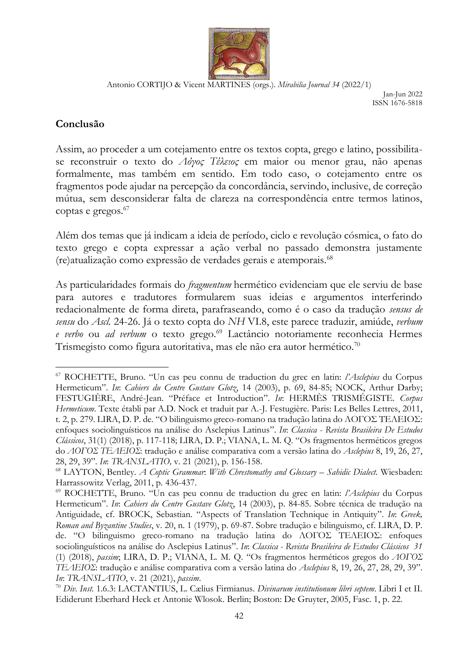

Jan-Jun 2022 ISSN 1676-5818

## **Conclusão**

Assim, ao proceder a um cotejamento entre os textos copta, grego e latino, possibilitase reconstruir o texto do *Λόγος Τέλειος* em maior ou menor grau, não apenas formalmente, mas também em sentido. Em todo caso, o cotejamento entre os fragmentos pode ajudar na percepção da concordância, servindo, inclusive, de correção mútua, sem desconsiderar falta de clareza na correspondência entre termos latinos, coptas e gregos. 67

Além dos temas que já indicam a ideia de período, ciclo e revolução cósmica, o fato do texto grego e copta expressar a ação verbal no passado demonstra justamente (re)atualização como expressão de verdades gerais e atemporais.<sup>68</sup>

As particularidades formais do *fragmentum* hermético evidenciam que ele serviu de base para autores e tradutores formularem suas ideias e argumentos interferindo redacionalmente de forma direta, parafraseando, como é o caso da tradução *sensus de sensu* do *Ascl.* 24-26. Já o texto copta do *NH* VI.8, este parece traduzir, amiúde, *verbum e verbo* ou *ad verbum* o texto grego.<sup>69</sup> Lactâncio notoriamente reconhecia Hermes Trismegisto como figura autoritativa, mas ele não era autor hermético.<sup>70</sup>

<sup>67</sup> ROCHETTE, Bruno. "Un cas peu connu de traduction du grec en latin: *l'Asclepius* du Corpus Hermeticum". *In*: *Cahiers du Centre Gustave Glotz*, 14 (2003), p. 69, 84-85; NOCK, Arthur Darby; FESTUGIÈRE, André-Jean. "Préface et Introduction". *In*: HERMÈS TRISMÉGISTE. *Corpus Hermeticum*. Texte établi par A.D. Nock et traduit par A.-J. Festugière. Paris: Les Belles Lettres, 2011, t. 2, p. 279. LIRA, D. P. de. "O bilinguismo greco-romano na tradução latina do ΛΟΓΟΣ ΤΕΛΕΙΟΣ: enfoques sociolinguísticos na análise do Asclepius Latinus". *In*: *Classica - Revista Brasileira De Estudos Clássicos*, 31(1) (2018), p. 117-118; LIRA, D. P.; VIANA, L. M. Q. "Os fragmentos herméticos gregos do *ΛΟΓΟΣ ΤΕΛΕΙΟΣ*: tradução e análise comparativa com a versão latina do *Asclepius* 8, 19, 26, 27, 28, 29, 39". *In*: *TRANSLATIO,* v. 21 (2021), p. 156-158.

<sup>68</sup> LAYTON, Bentley. *A Coptic Grammar*: *With Chrestomathy and Glossary – Sahidic Dialect*. Wiesbaden: Harrassowitz Verlag, 2011, p. 436-437.

<sup>69</sup> ROCHETTE, Bruno. "Un cas peu connu de traduction du grec en latin: *l'Asclepius* du Corpus Hermeticum". *In*: *Cahiers du Centre Gustave Glotz*, 14 (2003), p. 84-85. Sobre técnica de tradução na Antiguidade, cf. BROCK, Sebastian. "Aspects of Translation Technique in Antiquity". *In*: *Greek, Roman and Byzantine Studies*, v. 20, n. 1 (1979), p. 69-87. Sobre tradução e bilinguismo, cf. LIRA, D. P. de. "O bilinguismo greco-romano na tradução latina do ΛΟΓΟΣ ΤΕΛΕΙΟΣ: enfoques sociolinguísticos na análise do Asclepius Latinus". *In*: *Classica - Revista Brasileira de Estudos Clássicos 31* (1) (2018), *passim*; LIRA, D. P.; VIANA, L. M. Q. "Os fragmentos herméticos gregos do *ΛΟΓΟΣ ΤΕΛΕΙΟΣ*: tradução e análise comparativa com a versão latina do *Asclepius* 8, 19, 26, 27, 28, 29, 39". *In*: *TRANSLATIO*, v. 21 (2021), *passim*.

<sup>70</sup> *Div. Inst.* 1.6.3: LACTANTIUS, L. Cælius Firmianus. *Divinarum institutionum libri septem*. Libri I et II. Ediderunt Eberhard Heck et Antonie Wlosok. Berlin; Boston: De Gruyter, 2005, Fasc. 1, p. 22.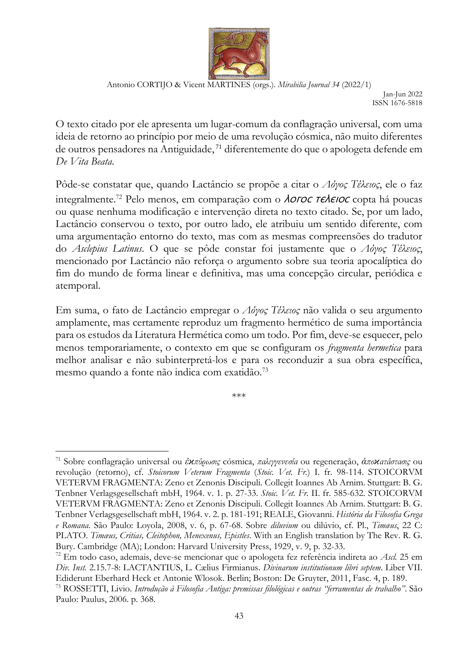

Jan-Jun 2022 ISSN 1676-5818

O texto citado por ele apresenta um lugar-comum da conflagração universal, com uma ideia de retorno ao princípio por meio de uma revolução cósmica, não muito diferentes de outros pensadores na Antiguidade, <sup>71</sup> diferentemente do que o apologeta defende em *De Vita Beata*.

Pôde-se constatar que, quando Lactâncio se propõe a citar o *Λόγος Τέλειος*, ele o faz integralmente.<sup>72</sup> Pelo menos, em comparação com o *AOFOC TEAEIOC* copta há poucas ou quase nenhuma modificação e intervenção direta no texto citado. Se, por um lado, Lactâncio conservou o texto, por outro lado, ele atribuiu um sentido diferente, com uma argumentação entorno do texto, mas com as mesmas compreensões do tradutor do *Asclepius Latinus*. O que se pôde constar foi justamente que o *Λόγος Τέλειος*, mencionado por Lactâncio não reforça o argumento sobre sua teoria apocalíptica do fim do mundo de forma linear e definitiva, mas uma concepção circular, periódica e atemporal.

Em suma, o fato de Lactâncio empregar o *Λόγος Τέλειος* não valida o seu argumento amplamente, mas certamente reproduz um fragmento hermético de suma importância para os estudos da Literatura Hermética como um todo. Por fim, deve-se esquecer, pelo menos temporariamente, o contexto em que se configuram os *fragmenta hermetica* para melhor analisar e não subinterpretá-los e para os reconduzir a sua obra específica, mesmo quando a fonte não indica com exatidão.<sup>73</sup>

\*\*\*

<sup>71</sup> Sobre conflagração universal ou *ἐϰπύρωσις* cósmica, *παλιγγενεσία* ou regeneração, *ἀποϰατάστασις* ou revolução (retorno), cf. *Stoicorum Veterum Fragmenta* (*Stoic. Vet. Fr.*) I. fr. 98-114. STOICORVM VETERVM FRAGMENTA: Zeno et Zenonis Discipuli. Collegit Ioannes Ab Arnim. Stuttgart: B. G. Tenbner Verlagsgesellschaft mbH, 1964. v. 1. p. 27-33. *Stoic. Vet. Fr.* II. fr. 585-632. STOICORVM VETERVM FRAGMENTA: Zeno et Zenonis Discipuli. Collegit Ioannes Ab Arnim. Stuttgart: B. G. Tenbner Verlagsgesellschaft mbH, 1964. v. 2. p. 181-191; REALE, Giovanni. *História da Filosofia Grega e Romana*. São Paulo: Loyola, 2008, v. 6, p. 67-68. Sobre *diluvium* ou dilúvio, cf. Pl., *Timæus*, 22 C: PLATO. *Timæus, Critias, Cleitophon, Menexenus, Epistles*. With an English translation by The Rev. R. G. Bury. Cambridge (MA); London: Harvard University Press, 1929, v. 9, p. 32-33.

<sup>72</sup> Em todo caso, ademais, deve-se mencionar que o apologeta fez referência indireta ao *Ascl.* 25 em *Div. Inst.* 2.15.7-8: LACTANTIUS, L. Cælius Firmianus. *Divinarum institutionum libri septem*. Liber VII. Ediderunt Eberhard Heck et Antonie Wlosok. Berlin; Boston: De Gruyter, 2011, Fasc. 4, p. 189.

<sup>73</sup> ROSSETTI, Livio. *Introdução à Filosofia Antiga: premissas filológicas e outras "ferramentas de trabalho"*. São Paulo: Paulus, 2006. p. 368.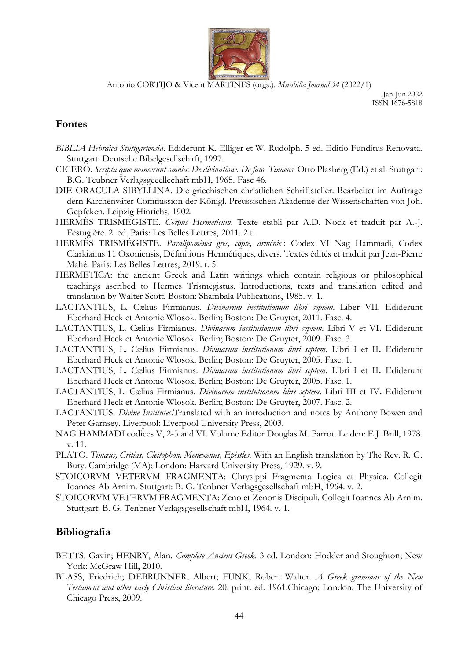

Jan-Jun 2022 ISSN 1676-5818

#### **Fontes**

- *BIBLIA Hebraica Stuttgartensia*. Ediderunt K. Elliger et W. Rudolph. 5 ed. Editio Funditus Renovata. Stuttgart: Deutsche Bibelgesellschaft, 1997.
- CICERO. *Scripta quæ manserunt omnia: De divinatione. De fato. Timæus.* Otto Plasberg (Ed.) et al. Stuttgart: B.G. Teubner Verlagsgeeellechaft mbH, 1965. Fasc 46.
- DIE ORACULA SIBYLLINA. Die griechischen christlichen Schriftsteller. Bearbeitet im Auftrage dern Kirchenväter-Commission der Königl. Preussischen Akademie der Wissenschaften von Joh. Gepfcken. Leipzig Hinrichs, 1902.
- HERMÈS TRISMÉGISTE. *Corpus Hermeticum*. Texte établi par A.D. Nock et traduit par A.-J. Festugière. 2. ed. Paris: Les Belles Lettres, 2011. 2 t.
- HERMÈS TRISMÉGISTE. *Paralipomènes grec, copte, arménie* : Codex VI Nag Hammadi, Codex Clarkianus 11 Oxoniensis, Définitions Hermétiques, divers. Textes édités et traduit par Jean-Pierre Mahé. Paris: Les Belles Lettres, 2019. t. 5.
- HERMETICA: the ancient Greek and Latin writings which contain religious or philosophical teachings ascribed to Hermes Trismegistus. Introductions, texts and translation edited and translation by Walter Scott. Boston: Shambala Publications, 1985. v. 1.
- LACTANTIUS, L. Cælius Firmianus. *Divinarum institutionum libri septem*. Liber VII. Ediderunt Eberhard Heck et Antonie Wlosok. Berlin; Boston: De Gruyter, 2011. Fasc. 4.
- LACTANTIUS, L. Cælius Firmianus. *Divinarum institutionum libri septem*. Libri V et VI**.** Ediderunt Eberhard Heck et Antonie Wlosok. Berlin; Boston: De Gruyter, 2009. Fasc. 3.
- LACTANTIUS, L. Cælius Firmianus. *Divinarum institutionum libri septem*. Libri I et II**.** Ediderunt Eberhard Heck et Antonie Wlosok. Berlin; Boston: De Gruyter, 2005. Fasc. 1.
- LACTANTIUS, L. Cælius Firmianus. *Divinarum institutionum libri septem*. Libri I et II**.** Ediderunt Eberhard Heck et Antonie Wlosok. Berlin; Boston: De Gruyter, 2005. Fasc. 1.
- LACTANTIUS, L. Cælius Firmianus. *Divinarum institutionum libri septem*. Libri III et IV**.** Ediderunt Eberhard Heck et Antonie Wlosok. Berlin; Boston: De Gruyter, 2007. Fasc. 2.
- LACTANTIUS. *Divine Institutes*.Translated with an introduction and notes by Anthony Bowen and Peter Garnsey. Liverpool: Liverpool University Press, 2003.
- NAG HAMMADI codices V, 2-5 and VI. Volume Editor Douglas M. Parrot. Leiden: E.J. Brill, 1978. v. 11.
- PLATO. *Timæus, Critias, Cleitophon, Menexenus, Epistles*. With an English translation by The Rev. R. G. Bury. Cambridge (MA); London: Harvard University Press, 1929. v. 9.
- STOICORVM VETERVM FRAGMENTA: Chrysippi Fragmenta Logica et Physica. Collegit Ioannes Ab Arnim. Stuttgart: B. G. Tenbner Verlagsgesellschaft mbH, 1964. v. 2.
- STOICORVM VETERVM FRAGMENTA: Zeno et Zenonis Discipuli. Collegit Ioannes Ab Arnim. Stuttgart: B. G. Tenbner Verlagsgesellschaft mbH, 1964. v. 1.

#### **Bibliografia**

- BETTS, Gavin; HENRY, Alan. *Complete Ancient Greek*. 3 ed. London: Hodder and Stoughton; New York: McGraw Hill, 2010.
- BLASS, Friedrich; DEBRUNNER, Albert; FUNK, Robert Walter. *A Greek grammar of the New Testament and other early Christian literature*. 20. print. ed. 1961.Chicago; London: The University of Chicago Press, 2009.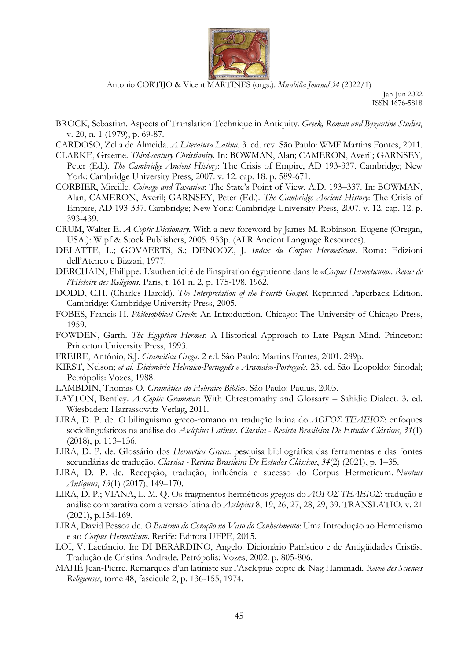

Jan-Jun 2022 ISSN 1676-5818

- BROCK, Sebastian. Aspects of Translation Technique in Antiquity. *Greek, Roman and Byzantine Studies*, v. 20, n. 1 (1979), p. 69-87.
- CARDOSO, Zelia de Almeida. *A Literatura Latina*. 3. ed. rev. São Paulo: WMF Martins Fontes, 2011.
- CLARKE, Graeme. *Third-century Christianity*. In: BOWMAN, Alan; CAMERON, Averil; GARNSEY, Peter (Ed.). *The Cambridge Ancient History*: The Crisis of Empire, AD 193-337. Cambridge; New York: Cambridge University Press, 2007. v. 12. cap. 18. p. 589-671.
- CORBIER, Mireille. *Coinage and Taxation*: The State's Point of View, A.D. 193–337. In: BOWMAN, Alan; CAMERON, Averil; GARNSEY, Peter (Ed.). *The Cambridge Ancient History*: The Crisis of Empire, AD 193-337. Cambridge; New York: Cambridge University Press, 2007. v. 12. cap. 12. p. 393-439.
- CRUM, Walter E. *A Coptic Dictionary*. With a new foreword by James M. Robinson. Eugene (Oregan, USA.): Wipf & Stock Publishers, 2005. 953p. (ALR Ancient Language Resources).
- DELATTE, L.; GOVAERTS, S.; DENOOZ, J. *Index du Corpus Hermeticum*. Roma: Edizioni dell'Ateneo e Bizzari, 1977.
- DERCHAIN, Philippe. L'authenticité de l'inspiration égyptienne dans le «*Corpus Hermeticum*». *Revue de l'Histoire des Religions*, Paris, t. 161 n. 2, p. 175-198, 1962.
- DODD, C.H. (Charles Harold). *The Interpretation of the Fourth Gospel*. Reprinted Paperback Edition. Cambridge: Cambridge University Press, 2005.
- FOBES, Francis H. *Philosophical Greek*: An Introduction. Chicago: The University of Chicago Press, 1959.
- FOWDEN, Garth. *The Egyptian Hermes*: A Historical Approach to Late Pagan Mind. Princeton: Princeton University Press, 1993.
- FREIRE, Antônio, S.J. *Gramática Grega.* 2 ed. São Paulo: Martins Fontes, 2001. 289p.
- KIRST, Nelson; *et al. Dicionário Hebraico-Português e Aramaico-Português*. 23. ed. São Leopoldo: Sinodal; Petrópolis: Vozes, 1988.
- LAMBDIN, Thomas O. *Gramática do Hebraico Bíblico*. São Paulo: Paulus, 2003.
- LAYTON, Bentley. *A Coptic Grammar*: With Chrestomathy and Glossary Sahidic Dialect. 3. ed. Wiesbaden: Harrassowitz Verlag, 2011.
- LIRA, D. P. de. O bilinguismo greco-romano na tradução latina do *ΛΟΓΟΣ ΤΕΛΕΙΟΣ*: enfoques sociolinguísticos na análise do *Asclepius Latinus*. *Classica - Revista Brasileira De Estudos Clássicos*, *31*(1) (2018), p. 113–136.
- LIRA, D. P. de. Glossário dos *Hermetica Græca*: pesquisa bibliográfica das ferramentas e das fontes secundárias de tradução. *Classica - Revista Brasileira De Estudos Clássicos*, *34*(2) (2021), p. 1–35.
- LIRA, D. P. de. Recepção, tradução, influência e sucesso do Corpus Hermeticum. *Nuntius Antiquus*, *13*(1) (2017), 149–170.
- LIRA, D. P.; VIANA, L. M. Q. Os fragmentos herméticos gregos do *ΛΟΓΟΣ ΤΕΛΕΙΟΣ*: tradução e análise comparativa com a versão latina do *Asclepius* 8, 19, 26, 27, 28, 29, 39. TRANSLATIO. v. 21 (2021), p.154-169.
- LIRA, David Pessoa de. *O Batismo do Coração no Vaso do Conhecimento*: Uma Introdução ao Hermetismo e ao *Corpus Hermeticum*. Recife: Editora UFPE, 2015.
- LOI, V. Lactâncio. In: DI BERARDINO, Angelo. Dicionário Patrístico e de Antigüidades Cristãs. Tradução de Cristina Andrade. Petrópolis: Vozes, 2002. p. 805-806.
- MAHÉ Jean-Pierre. Remarques d'un latiniste sur l'Asclepius copte de Nag Hammadi. *Revue des Sciences Religieuses*, tome 48, fascicule 2, p. 136-155, 1974.